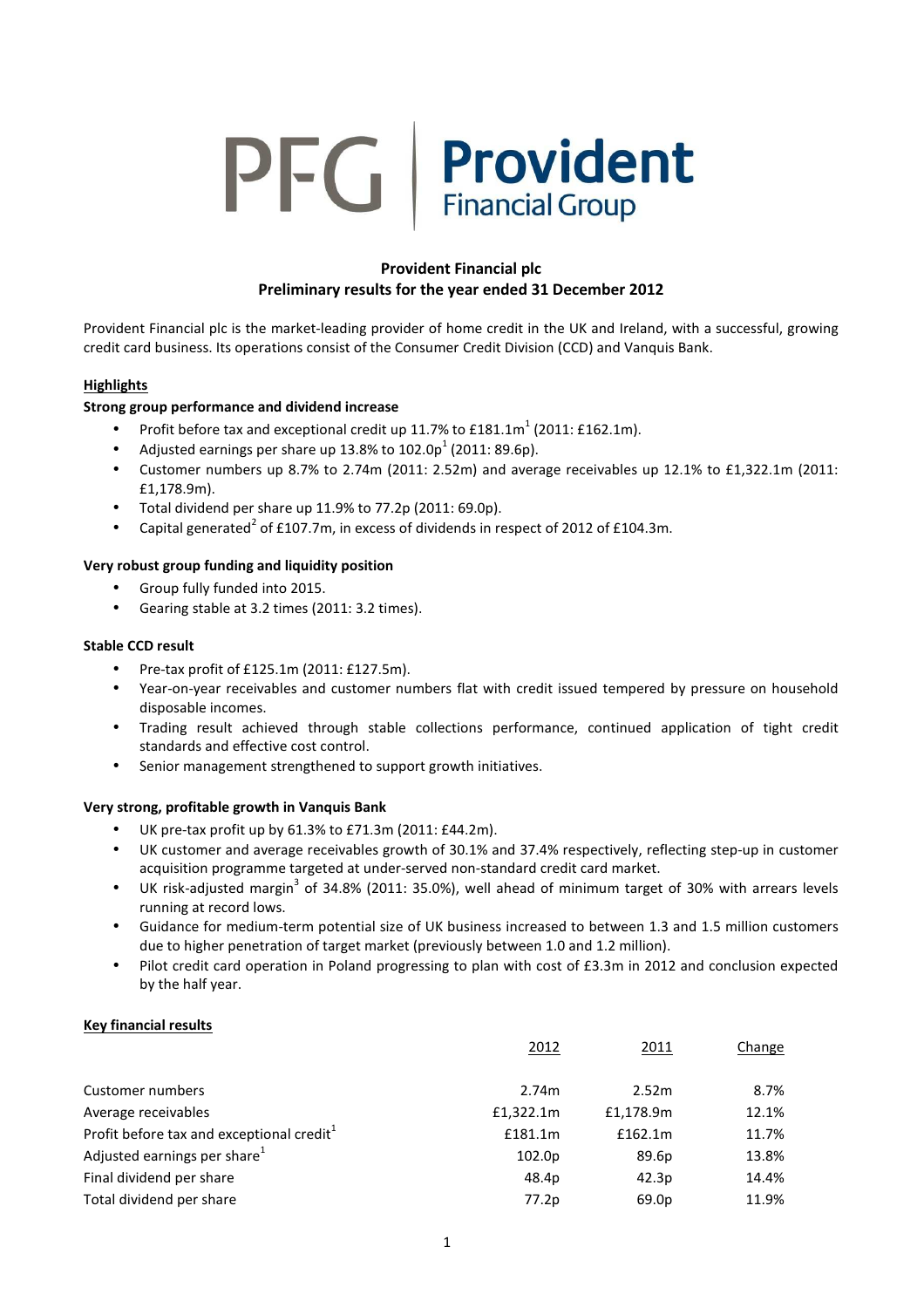# PFG | Provident

# Provident Financial plc Preliminary results for the year ended 31 December 2012

Provident Financial plc is the market-leading provider of home credit in the UK and Ireland, with a successful, growing credit card business. Its operations consist of the Consumer Credit Division (CCD) and Vanquis Bank.

# **Highlights**

# Strong group performance and dividend increase

- Profit before tax and exceptional credit up 11.7% to  $E181.1m^1$  (2011: £162.1m).
- Adjusted earnings per share up 13.8% to  $102.0p^1$  (2011: 89.6p).
- Customer numbers up 8.7% to 2.74m (2011: 2.52m) and average receivables up 12.1% to £1,322.1m (2011: £1,178.9m).
- Total dividend per share up 11.9% to 77.2p (2011: 69.0p).
- Capital generated<sup>2</sup> of £107.7m, in excess of dividends in respect of 2012 of £104.3m.

# Very robust group funding and liquidity position

- Group fully funded into 2015.
- Gearing stable at 3.2 times (2011: 3.2 times).

# Stable CCD result

- Pre-tax profit of £125.1m (2011: £127.5m).
- Year-on-year receivables and customer numbers flat with credit issued tempered by pressure on household disposable incomes.
- Trading result achieved through stable collections performance, continued application of tight credit standards and effective cost control.
- Senior management strengthened to support growth initiatives.

# Very strong, profitable growth in Vanquis Bank

- UK pre-tax profit up by 61.3% to £71.3m (2011: £44.2m).
- UK customer and average receivables growth of 30.1% and 37.4% respectively, reflecting step-up in customer acquisition programme targeted at under-served non-standard credit card market.
- UK risk-adjusted margin<sup>3</sup> of 34.8% (2011: 35.0%), well ahead of minimum target of 30% with arrears levels running at record lows.
- Guidance for medium-term potential size of UK business increased to between 1.3 and 1.5 million customers due to higher penetration of target market (previously between 1.0 and 1.2 million).
- Pilot credit card operation in Poland progressing to plan with cost of £3.3m in 2012 and conclusion expected by the half year.

# Key financial results

|                                                       | 2012      | 2011      | Change |
|-------------------------------------------------------|-----------|-----------|--------|
| Customer numbers                                      | 2.74m     | 2.52m     | 8.7%   |
| Average receivables                                   | £1,322.1m | £1,178.9m | 12.1%  |
| Profit before tax and exceptional credit <sup>1</sup> | £181.1m   | £162.1m   | 11.7%  |
| Adjusted earnings per share <sup>1</sup>              | 102.0p    | 89.6p     | 13.8%  |
| Final dividend per share                              | 48.4p     | 42.3p     | 14.4%  |
| Total dividend per share                              | 77.2p     | 69.0p     | 11.9%  |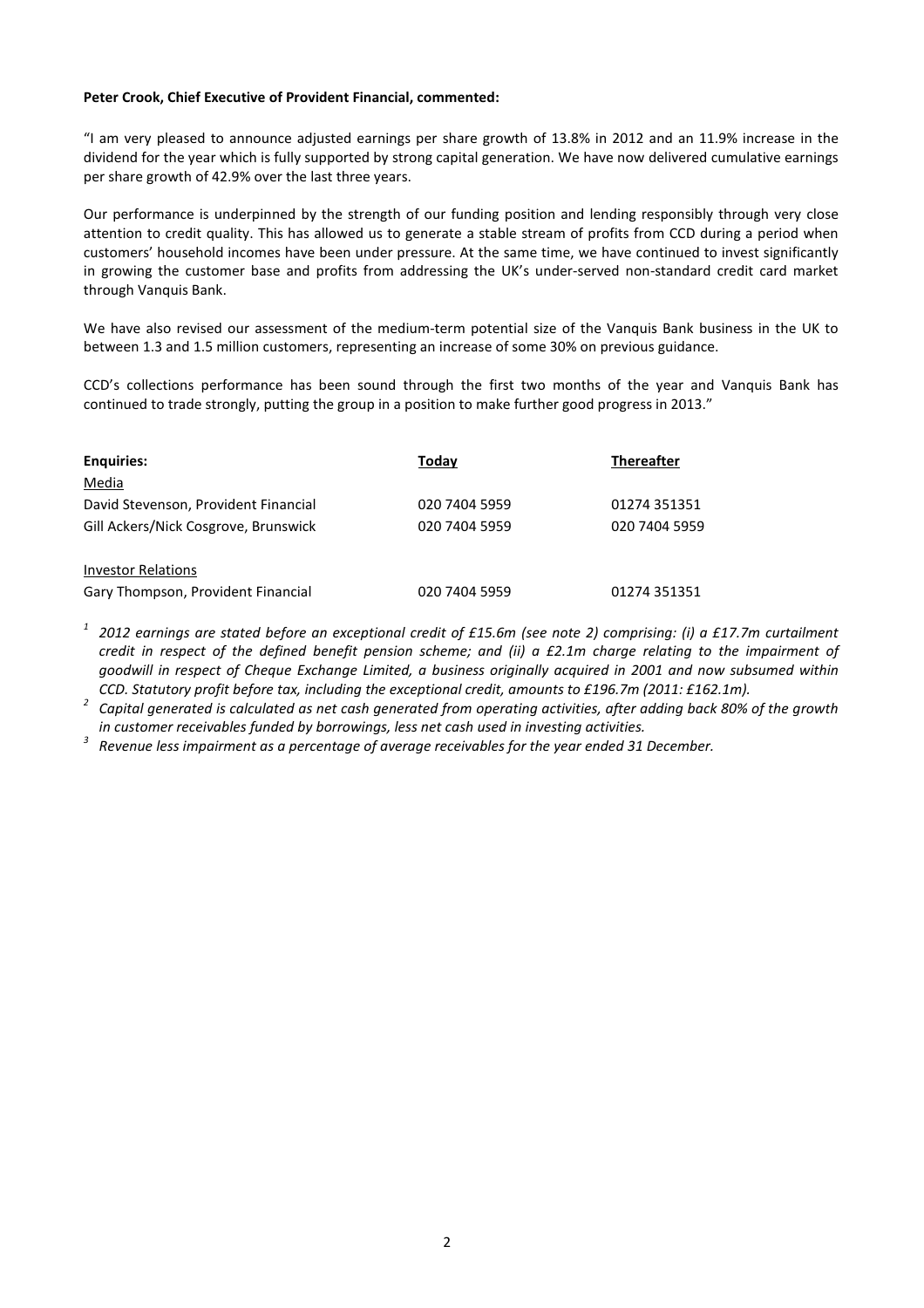#### Peter Crook, Chief Executive of Provident Financial, commented:

"I am very pleased to announce adjusted earnings per share growth of 13.8% in 2012 and an 11.9% increase in the dividend for the year which is fully supported by strong capital generation. We have now delivered cumulative earnings per share growth of 42.9% over the last three years.

Our performance is underpinned by the strength of our funding position and lending responsibly through very close attention to credit quality. This has allowed us to generate a stable stream of profits from CCD during a period when customers' household incomes have been under pressure. At the same time, we have continued to invest significantly in growing the customer base and profits from addressing the UK's under-served non-standard credit card market through Vanquis Bank.

We have also revised our assessment of the medium-term potential size of the Vanquis Bank business in the UK to between 1.3 and 1.5 million customers, representing an increase of some 30% on previous guidance.

CCD's collections performance has been sound through the first two months of the year and Vanquis Bank has continued to trade strongly, putting the group in a position to make further good progress in 2013."

| <b>Enguiries:</b>                    | Today         | <b>Thereafter</b> |
|--------------------------------------|---------------|-------------------|
| Media                                |               |                   |
| David Stevenson, Provident Financial | 020 7404 5959 | 01274 351351      |
| Gill Ackers/Nick Cosgrove, Brunswick | 020 7404 5959 | 020 7404 5959     |
|                                      |               |                   |
| <b>Investor Relations</b>            |               |                   |
| Gary Thompson, Provident Financial   | 020 7404 5959 | 01274 351351      |

 $1$  2012 earnings are stated before an exceptional credit of £15.6m (see note 2) comprising: (i) a £17.7m curtailment credit in respect of the defined benefit pension scheme; and (ii) a £2.1m charge relating to the impairment of goodwill in respect of Cheque Exchange Limited, a business originally acquired in 2001 and now subsumed within CCD. Statutory profit before tax, including the exceptional credit, amounts to £196.7m (2011: £162.1m).

<sup>2</sup> Capital generated is calculated as net cash generated from operating activities, after adding back 80% of the growth in customer receivables funded by borrowings, less net cash used in investing activities.

Revenue less impairment as a percentage of average receivables for the year ended 31 December.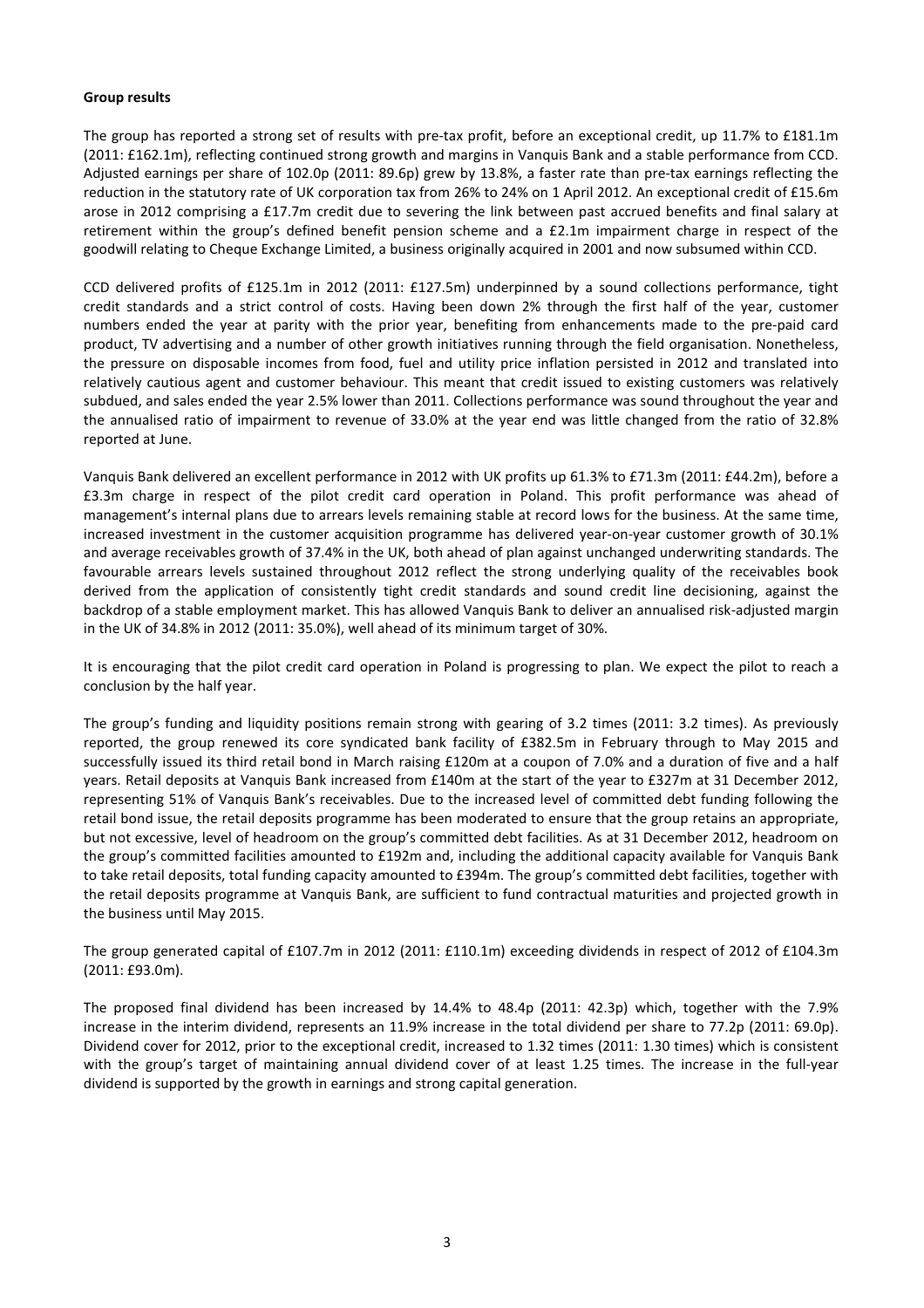#### Group results

The group has reported a strong set of results with pre-tax profit, before an exceptional credit, up 11.7% to £181.1m (2011: £162.1m), reflecting continued strong growth and margins in Vanquis Bank and a stable performance from CCD. Adjusted earnings per share of 102.0p (2011: 89.6p) grew by 13.8%, a faster rate than pre-tax earnings reflecting the reduction in the statutory rate of UK corporation tax from 26% to 24% on 1 April 2012. An exceptional credit of £15.6m arose in 2012 comprising a £17.7m credit due to severing the link between past accrued benefits and final salary at retirement within the group's defined benefit pension scheme and a £2.1m impairment charge in respect of the goodwill relating to Cheque Exchange Limited, a business originally acquired in 2001 and now subsumed within CCD.

CCD delivered profits of £125.1m in 2012 (2011: £127.5m) underpinned by a sound collections performance, tight credit standards and a strict control of costs. Having been down 2% through the first half of the year, customer numbers ended the year at parity with the prior year, benefiting from enhancements made to the pre-paid card product, TV advertising and a number of other growth initiatives running through the field organisation. Nonetheless, the pressure on disposable incomes from food, fuel and utility price inflation persisted in 2012 and translated into relatively cautious agent and customer behaviour. This meant that credit issued to existing customers was relatively subdued, and sales ended the year 2.5% lower than 2011. Collections performance was sound throughout the year and the annualised ratio of impairment to revenue of 33.0% at the year end was little changed from the ratio of 32.8% reported at June.

Vanquis Bank delivered an excellent performance in 2012 with UK profits up 61.3% to £71.3m (2011: £44.2m), before a £3.3m charge in respect of the pilot credit card operation in Poland. This profit performance was ahead of management's internal plans due to arrears levels remaining stable at record lows for the business. At the same time, increased investment in the customer acquisition programme has delivered year-on-year customer growth of 30.1% and average receivables growth of 37.4% in the UK, both ahead of plan against unchanged underwriting standards. The favourable arrears levels sustained throughout 2012 reflect the strong underlying quality of the receivables book derived from the application of consistently tight credit standards and sound credit line decisioning, against the backdrop of a stable employment market. This has allowed Vanquis Bank to deliver an annualised risk-adjusted margin in the UK of 34.8% in 2012 (2011: 35.0%), well ahead of its minimum target of 30%.

It is encouraging that the pilot credit card operation in Poland is progressing to plan. We expect the pilot to reach a conclusion by the half year.

The group's funding and liquidity positions remain strong with gearing of 3.2 times (2011: 3.2 times). As previously reported, the group renewed its core syndicated bank facility of £382.5m in February through to May 2015 and successfully issued its third retail bond in March raising £120m at a coupon of 7.0% and a duration of five and a half years. Retail deposits at Vanquis Bank increased from £140m at the start of the year to £327m at 31 December 2012, representing 51% of Vanquis Bank's receivables. Due to the increased level of committed debt funding following the retail bond issue, the retail deposits programme has been moderated to ensure that the group retains an appropriate, but not excessive, level of headroom on the group's committed debt facilities. As at 31 December 2012, headroom on the group's committed facilities amounted to £192m and, including the additional capacity available for Vanquis Bank to take retail deposits, total funding capacity amounted to £394m. The group's committed debt facilities, together with the retail deposits programme at Vanquis Bank, are sufficient to fund contractual maturities and projected growth in the business until May 2015.

The group generated capital of £107.7m in 2012 (2011: £110.1m) exceeding dividends in respect of 2012 of £104.3m (2011: £93.0m).

The proposed final dividend has been increased by 14.4% to 48.4p (2011: 42.3p) which, together with the 7.9% increase in the interim dividend, represents an 11.9% increase in the total dividend per share to 77.2p (2011: 69.0p). Dividend cover for 2012, prior to the exceptional credit, increased to 1.32 times (2011: 1.30 times) which is consistent with the group's target of maintaining annual dividend cover of at least 1.25 times. The increase in the full-year dividend is supported by the growth in earnings and strong capital generation.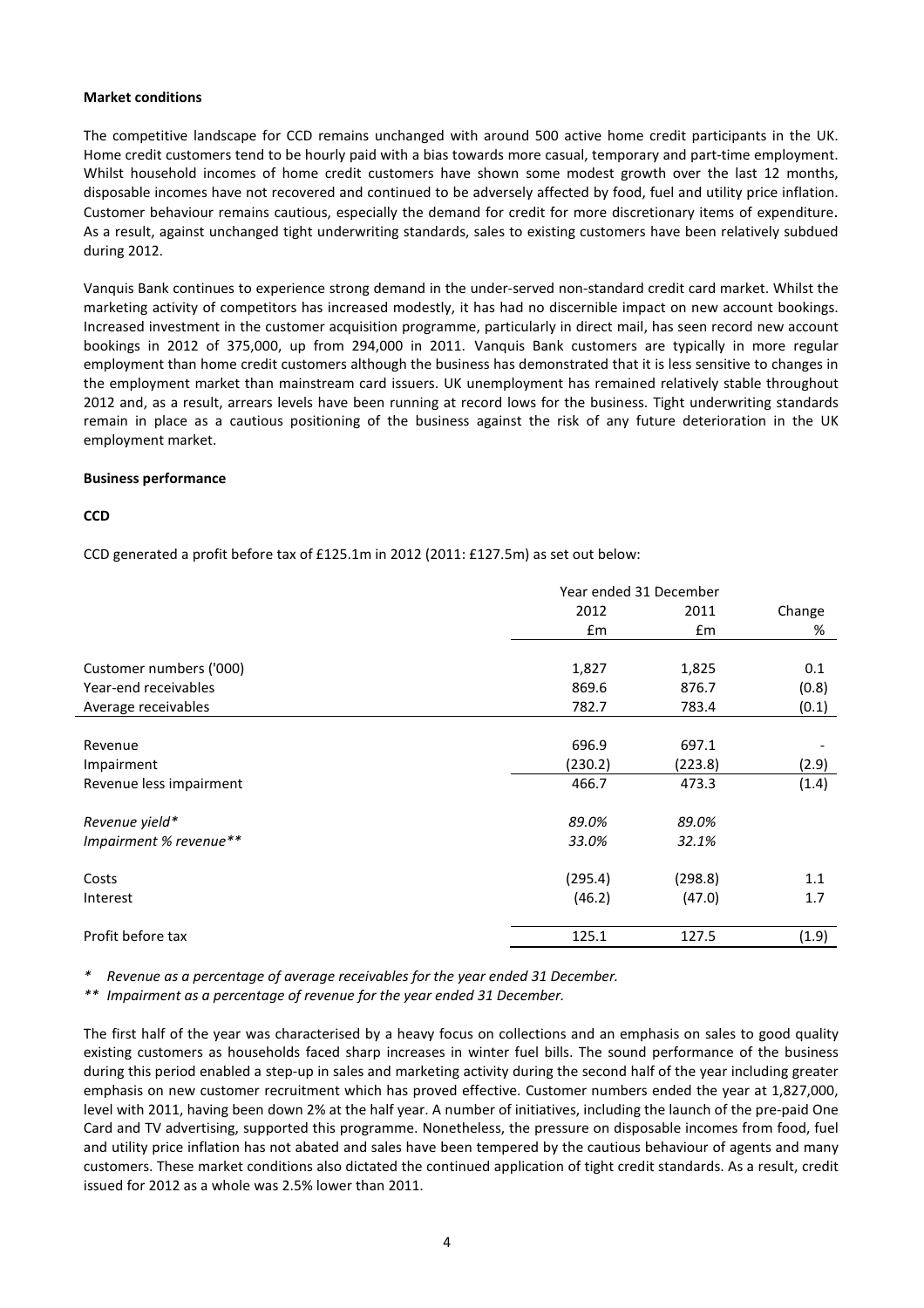#### Market conditions

The competitive landscape for CCD remains unchanged with around 500 active home credit participants in the UK. Home credit customers tend to be hourly paid with a bias towards more casual, temporary and part-time employment. Whilst household incomes of home credit customers have shown some modest growth over the last 12 months, disposable incomes have not recovered and continued to be adversely affected by food, fuel and utility price inflation. Customer behaviour remains cautious, especially the demand for credit for more discretionary items of expenditure. As a result, against unchanged tight underwriting standards, sales to existing customers have been relatively subdued during 2012.

Vanquis Bank continues to experience strong demand in the under-served non-standard credit card market. Whilst the marketing activity of competitors has increased modestly, it has had no discernible impact on new account bookings. Increased investment in the customer acquisition programme, particularly in direct mail, has seen record new account bookings in 2012 of 375,000, up from 294,000 in 2011. Vanquis Bank customers are typically in more regular employment than home credit customers although the business has demonstrated that it is less sensitive to changes in the employment market than mainstream card issuers. UK unemployment has remained relatively stable throughout 2012 and, as a result, arrears levels have been running at record lows for the business. Tight underwriting standards remain in place as a cautious positioning of the business against the risk of any future deterioration in the UK employment market.

# Business performance

# **CCD**

CCD generated a profit before tax of £125.1m in 2012 (2011: £127.5m) as set out below:

|                         | Year ended 31 December |         |        |
|-------------------------|------------------------|---------|--------|
|                         | 2012                   | 2011    | Change |
|                         | £m                     | Em      | %      |
|                         |                        |         |        |
| Customer numbers ('000) | 1,827                  | 1,825   | 0.1    |
| Year-end receivables    | 869.6                  | 876.7   | (0.8)  |
| Average receivables     | 782.7                  | 783.4   | (0.1)  |
|                         |                        |         |        |
| Revenue                 | 696.9                  | 697.1   |        |
| Impairment              | (230.2)                | (223.8) | (2.9)  |
| Revenue less impairment | 466.7                  | 473.3   | (1.4)  |
| Revenue yield*          | 89.0%                  | 89.0%   |        |
| Impairment % revenue**  | 33.0%                  | 32.1%   |        |
|                         |                        |         |        |
| Costs                   | (295.4)                | (298.8) | 1.1    |
| Interest                | (46.2)                 | (47.0)  | 1.7    |
| Profit before tax       | 125.1                  | 127.5   | (1.9)  |

Revenue as a percentage of average receivables for the year ended 31 December.

\*\* Impairment as a percentage of revenue for the year ended 31 December.

The first half of the year was characterised by a heavy focus on collections and an emphasis on sales to good quality existing customers as households faced sharp increases in winter fuel bills. The sound performance of the business during this period enabled a step-up in sales and marketing activity during the second half of the year including greater emphasis on new customer recruitment which has proved effective. Customer numbers ended the year at 1,827,000, level with 2011, having been down 2% at the half year. A number of initiatives, including the launch of the pre-paid One Card and TV advertising, supported this programme. Nonetheless, the pressure on disposable incomes from food, fuel and utility price inflation has not abated and sales have been tempered by the cautious behaviour of agents and many customers. These market conditions also dictated the continued application of tight credit standards. As a result, credit issued for 2012 as a whole was 2.5% lower than 2011.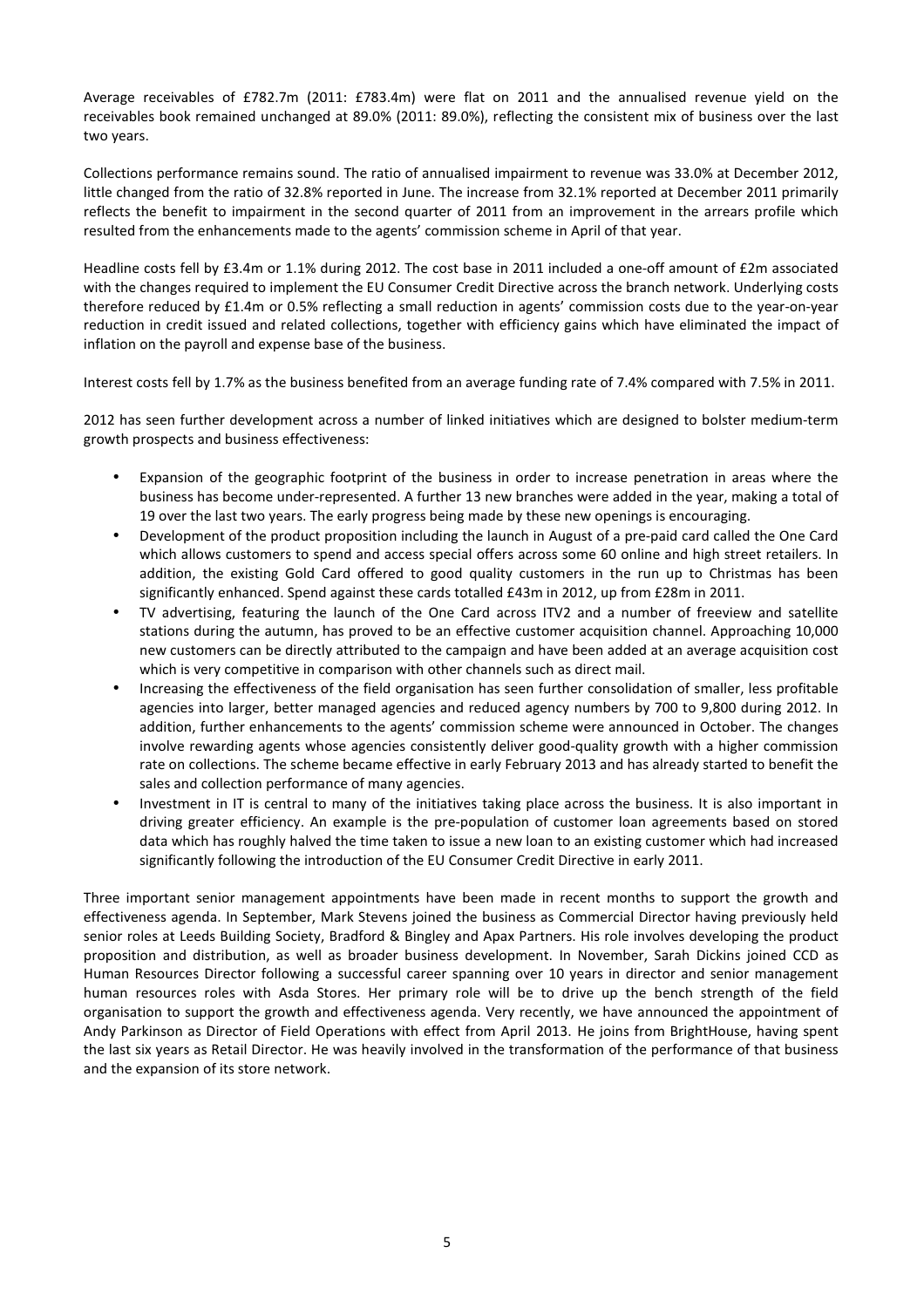Average receivables of £782.7m (2011: £783.4m) were flat on 2011 and the annualised revenue yield on the receivables book remained unchanged at 89.0% (2011: 89.0%), reflecting the consistent mix of business over the last two years.

Collections performance remains sound. The ratio of annualised impairment to revenue was 33.0% at December 2012, little changed from the ratio of 32.8% reported in June. The increase from 32.1% reported at December 2011 primarily reflects the benefit to impairment in the second quarter of 2011 from an improvement in the arrears profile which resulted from the enhancements made to the agents' commission scheme in April of that year.

Headline costs fell by £3.4m or 1.1% during 2012. The cost base in 2011 included a one-off amount of £2m associated with the changes required to implement the EU Consumer Credit Directive across the branch network. Underlying costs therefore reduced by £1.4m or 0.5% reflecting a small reduction in agents' commission costs due to the year-on-year reduction in credit issued and related collections, together with efficiency gains which have eliminated the impact of inflation on the payroll and expense base of the business.

Interest costs fell by 1.7% as the business benefited from an average funding rate of 7.4% compared with 7.5% in 2011.

2012 has seen further development across a number of linked initiatives which are designed to bolster medium-term growth prospects and business effectiveness:

- Expansion of the geographic footprint of the business in order to increase penetration in areas where the business has become under-represented. A further 13 new branches were added in the year, making a total of 19 over the last two years. The early progress being made by these new openings is encouraging.
- Development of the product proposition including the launch in August of a pre-paid card called the One Card which allows customers to spend and access special offers across some 60 online and high street retailers. In addition, the existing Gold Card offered to good quality customers in the run up to Christmas has been significantly enhanced. Spend against these cards totalled £43m in 2012, up from £28m in 2011.
- TV advertising, featuring the launch of the One Card across ITV2 and a number of freeview and satellite stations during the autumn, has proved to be an effective customer acquisition channel. Approaching 10,000 new customers can be directly attributed to the campaign and have been added at an average acquisition cost which is very competitive in comparison with other channels such as direct mail.
- Increasing the effectiveness of the field organisation has seen further consolidation of smaller, less profitable agencies into larger, better managed agencies and reduced agency numbers by 700 to 9,800 during 2012. In addition, further enhancements to the agents' commission scheme were announced in October. The changes involve rewarding agents whose agencies consistently deliver good-quality growth with a higher commission rate on collections. The scheme became effective in early February 2013 and has already started to benefit the sales and collection performance of many agencies.
- Investment in IT is central to many of the initiatives taking place across the business. It is also important in driving greater efficiency. An example is the pre-population of customer loan agreements based on stored data which has roughly halved the time taken to issue a new loan to an existing customer which had increased significantly following the introduction of the EU Consumer Credit Directive in early 2011.

Three important senior management appointments have been made in recent months to support the growth and effectiveness agenda. In September, Mark Stevens joined the business as Commercial Director having previously held senior roles at Leeds Building Society, Bradford & Bingley and Apax Partners. His role involves developing the product proposition and distribution, as well as broader business development. In November, Sarah Dickins joined CCD as Human Resources Director following a successful career spanning over 10 years in director and senior management human resources roles with Asda Stores. Her primary role will be to drive up the bench strength of the field organisation to support the growth and effectiveness agenda. Very recently, we have announced the appointment of Andy Parkinson as Director of Field Operations with effect from April 2013. He joins from BrightHouse, having spent the last six years as Retail Director. He was heavily involved in the transformation of the performance of that business and the expansion of its store network.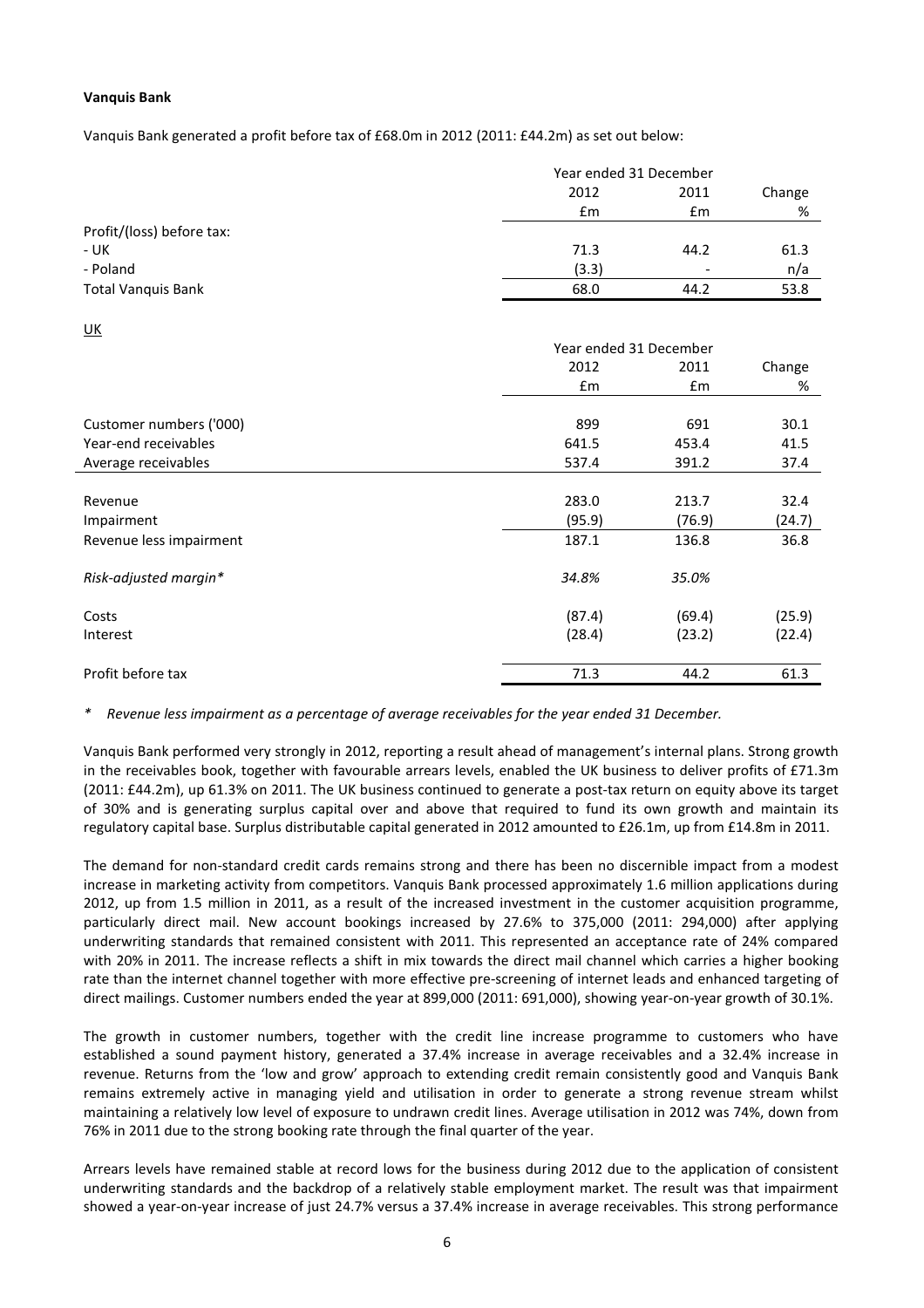### Vanquis Bank

Vanquis Bank generated a profit before tax of £68.0m in 2012 (2011: £44.2m) as set out below:

|                           |       | Year ended 31 December   |      |  |  |
|---------------------------|-------|--------------------------|------|--|--|
|                           | 2012  | 2011                     |      |  |  |
|                           | £m    | £m                       | %    |  |  |
| Profit/(loss) before tax: |       |                          |      |  |  |
| - UK                      | 71.3  | 44.2                     | 61.3 |  |  |
| - Poland                  | (3.3) | $\overline{\phantom{0}}$ | n/a  |  |  |
| Total Vanquis Bank        | 68.0  | 44.2                     | 53.8 |  |  |

| $\underline{\mathsf{UK}}$ |                        |        |        |  |
|---------------------------|------------------------|--------|--------|--|
|                           | Year ended 31 December |        |        |  |
|                           | 2012                   | 2011   | Change |  |
|                           | £m                     | £m     | %      |  |
| Customer numbers ('000)   | 899                    | 691    | 30.1   |  |
| Year-end receivables      | 641.5                  | 453.4  | 41.5   |  |
| Average receivables       | 537.4                  | 391.2  | 37.4   |  |
|                           |                        |        |        |  |
| Revenue                   | 283.0                  | 213.7  | 32.4   |  |
| Impairment                | (95.9)                 | (76.9) | (24.7) |  |
| Revenue less impairment   | 187.1                  | 136.8  | 36.8   |  |
| Risk-adjusted margin*     | 34.8%                  | 35.0%  |        |  |
| Costs                     | (87.4)                 | (69.4) | (25.9) |  |
| Interest                  | (28.4)                 | (23.2) | (22.4) |  |
| Profit before tax         | 71.3                   | 44.2   | 61.3   |  |

Revenue less impairment as a percentage of average receivables for the year ended 31 December.

Vanquis Bank performed very strongly in 2012, reporting a result ahead of management's internal plans. Strong growth in the receivables book, together with favourable arrears levels, enabled the UK business to deliver profits of £71.3m (2011: £44.2m), up 61.3% on 2011. The UK business continued to generate a post-tax return on equity above its target of 30% and is generating surplus capital over and above that required to fund its own growth and maintain its regulatory capital base. Surplus distributable capital generated in 2012 amounted to £26.1m, up from £14.8m in 2011.

The demand for non-standard credit cards remains strong and there has been no discernible impact from a modest increase in marketing activity from competitors. Vanquis Bank processed approximately 1.6 million applications during 2012, up from 1.5 million in 2011, as a result of the increased investment in the customer acquisition programme, particularly direct mail. New account bookings increased by 27.6% to 375,000 (2011: 294,000) after applying underwriting standards that remained consistent with 2011. This represented an acceptance rate of 24% compared with 20% in 2011. The increase reflects a shift in mix towards the direct mail channel which carries a higher booking rate than the internet channel together with more effective pre-screening of internet leads and enhanced targeting of direct mailings. Customer numbers ended the year at 899,000 (2011: 691,000), showing year-on-year growth of 30.1%.

The growth in customer numbers, together with the credit line increase programme to customers who have established a sound payment history, generated a 37.4% increase in average receivables and a 32.4% increase in revenue. Returns from the 'low and grow' approach to extending credit remain consistently good and Vanquis Bank remains extremely active in managing yield and utilisation in order to generate a strong revenue stream whilst maintaining a relatively low level of exposure to undrawn credit lines. Average utilisation in 2012 was 74%, down from 76% in 2011 due to the strong booking rate through the final quarter of the year.

Arrears levels have remained stable at record lows for the business during 2012 due to the application of consistent underwriting standards and the backdrop of a relatively stable employment market. The result was that impairment showed a year-on-year increase of just 24.7% versus a 37.4% increase in average receivables. This strong performance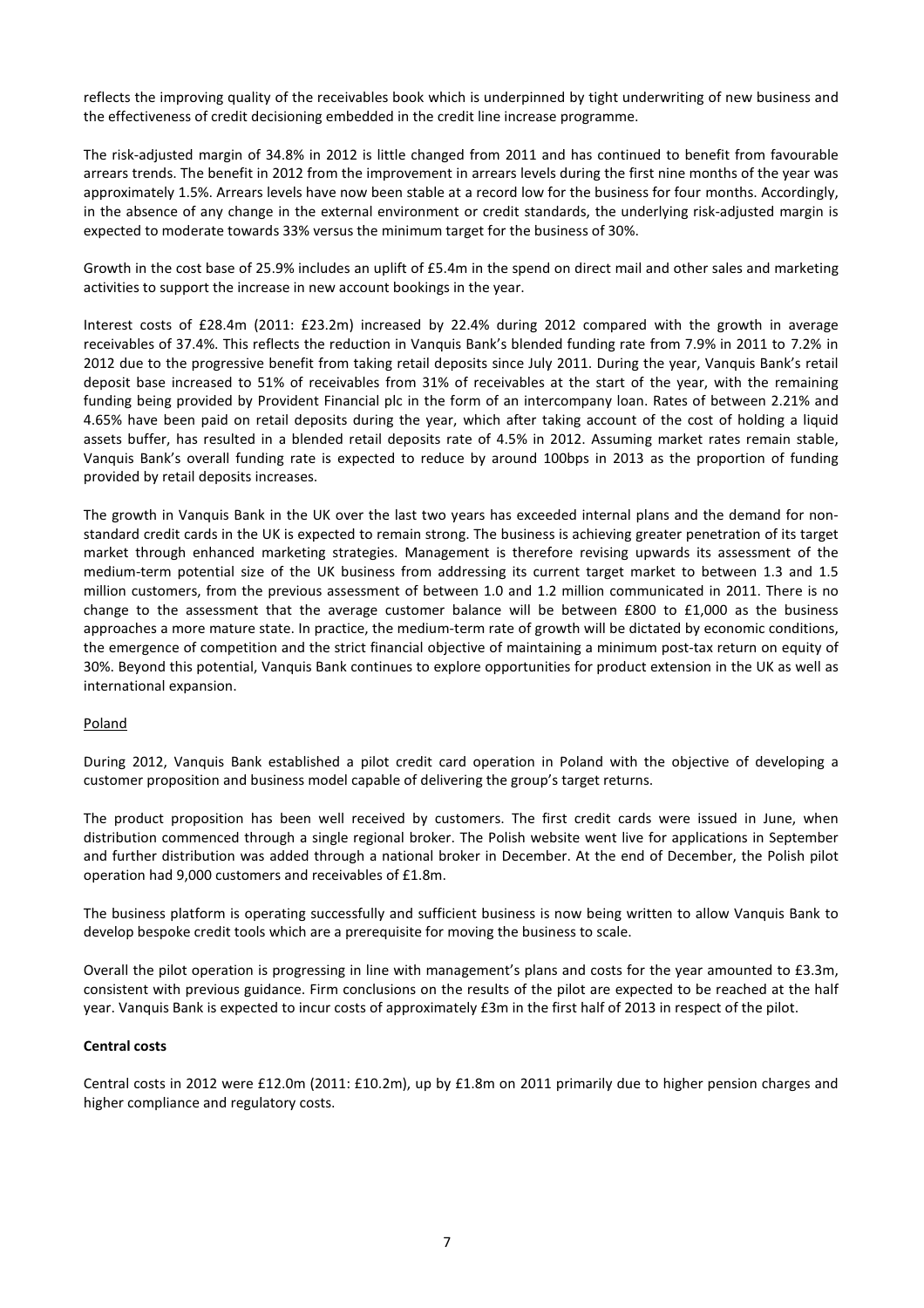reflects the improving quality of the receivables book which is underpinned by tight underwriting of new business and the effectiveness of credit decisioning embedded in the credit line increase programme.

The risk-adjusted margin of 34.8% in 2012 is little changed from 2011 and has continued to benefit from favourable arrears trends. The benefit in 2012 from the improvement in arrears levels during the first nine months of the year was approximately 1.5%. Arrears levels have now been stable at a record low for the business for four months. Accordingly, in the absence of any change in the external environment or credit standards, the underlying risk-adjusted margin is expected to moderate towards 33% versus the minimum target for the business of 30%.

Growth in the cost base of 25.9% includes an uplift of £5.4m in the spend on direct mail and other sales and marketing activities to support the increase in new account bookings in the year.

Interest costs of £28.4m (2011: £23.2m) increased by 22.4% during 2012 compared with the growth in average receivables of 37.4%. This reflects the reduction in Vanquis Bank's blended funding rate from 7.9% in 2011 to 7.2% in 2012 due to the progressive benefit from taking retail deposits since July 2011. During the year, Vanquis Bank's retail deposit base increased to 51% of receivables from 31% of receivables at the start of the year, with the remaining funding being provided by Provident Financial plc in the form of an intercompany loan. Rates of between 2.21% and 4.65% have been paid on retail deposits during the year, which after taking account of the cost of holding a liquid assets buffer, has resulted in a blended retail deposits rate of 4.5% in 2012. Assuming market rates remain stable, Vanquis Bank's overall funding rate is expected to reduce by around 100bps in 2013 as the proportion of funding provided by retail deposits increases.

The growth in Vanquis Bank in the UK over the last two years has exceeded internal plans and the demand for nonstandard credit cards in the UK is expected to remain strong. The business is achieving greater penetration of its target market through enhanced marketing strategies. Management is therefore revising upwards its assessment of the medium-term potential size of the UK business from addressing its current target market to between 1.3 and 1.5 million customers, from the previous assessment of between 1.0 and 1.2 million communicated in 2011. There is no change to the assessment that the average customer balance will be between £800 to £1,000 as the business approaches a more mature state. In practice, the medium-term rate of growth will be dictated by economic conditions, the emergence of competition and the strict financial objective of maintaining a minimum post-tax return on equity of 30%. Beyond this potential, Vanquis Bank continues to explore opportunities for product extension in the UK as well as international expansion.

# Poland

During 2012, Vanquis Bank established a pilot credit card operation in Poland with the objective of developing a customer proposition and business model capable of delivering the group's target returns.

The product proposition has been well received by customers. The first credit cards were issued in June, when distribution commenced through a single regional broker. The Polish website went live for applications in September and further distribution was added through a national broker in December. At the end of December, the Polish pilot operation had 9,000 customers and receivables of £1.8m.

The business platform is operating successfully and sufficient business is now being written to allow Vanquis Bank to develop bespoke credit tools which are a prerequisite for moving the business to scale.

Overall the pilot operation is progressing in line with management's plans and costs for the year amounted to £3.3m, consistent with previous guidance. Firm conclusions on the results of the pilot are expected to be reached at the half year. Vanquis Bank is expected to incur costs of approximately £3m in the first half of 2013 in respect of the pilot.

# Central costs

Central costs in 2012 were £12.0m (2011: £10.2m), up by £1.8m on 2011 primarily due to higher pension charges and higher compliance and regulatory costs.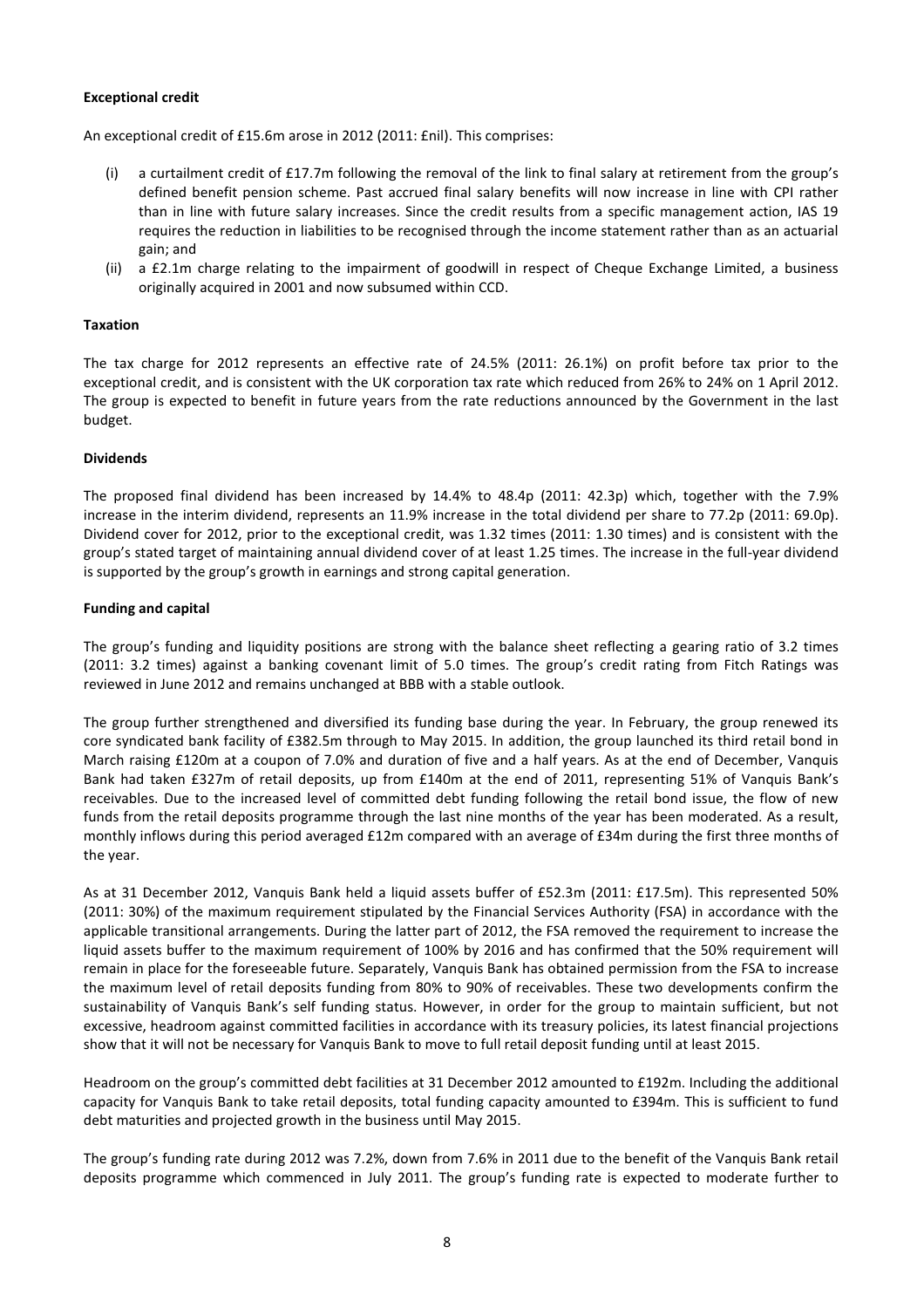### Exceptional credit

An exceptional credit of £15.6m arose in 2012 (2011: £nil). This comprises:

- (i) a curtailment credit of £17.7m following the removal of the link to final salary at retirement from the group's defined benefit pension scheme. Past accrued final salary benefits will now increase in line with CPI rather than in line with future salary increases. Since the credit results from a specific management action, IAS 19 requires the reduction in liabilities to be recognised through the income statement rather than as an actuarial gain; and
- (ii) a £2.1m charge relating to the impairment of goodwill in respect of Cheque Exchange Limited, a business originally acquired in 2001 and now subsumed within CCD.

#### Taxation

The tax charge for 2012 represents an effective rate of 24.5% (2011: 26.1%) on profit before tax prior to the exceptional credit, and is consistent with the UK corporation tax rate which reduced from 26% to 24% on 1 April 2012. The group is expected to benefit in future years from the rate reductions announced by the Government in the last budget.

#### Dividends

The proposed final dividend has been increased by 14.4% to 48.4p (2011: 42.3p) which, together with the 7.9% increase in the interim dividend, represents an 11.9% increase in the total dividend per share to 77.2p (2011: 69.0p). Dividend cover for 2012, prior to the exceptional credit, was 1.32 times (2011: 1.30 times) and is consistent with the group's stated target of maintaining annual dividend cover of at least 1.25 times. The increase in the full-year dividend is supported by the group's growth in earnings and strong capital generation.

#### Funding and capital

The group's funding and liquidity positions are strong with the balance sheet reflecting a gearing ratio of 3.2 times (2011: 3.2 times) against a banking covenant limit of 5.0 times. The group's credit rating from Fitch Ratings was reviewed in June 2012 and remains unchanged at BBB with a stable outlook.

The group further strengthened and diversified its funding base during the year. In February, the group renewed its core syndicated bank facility of £382.5m through to May 2015. In addition, the group launched its third retail bond in March raising £120m at a coupon of 7.0% and duration of five and a half years. As at the end of December, Vanquis Bank had taken £327m of retail deposits, up from £140m at the end of 2011, representing 51% of Vanquis Bank's receivables. Due to the increased level of committed debt funding following the retail bond issue, the flow of new funds from the retail deposits programme through the last nine months of the year has been moderated. As a result, monthly inflows during this period averaged £12m compared with an average of £34m during the first three months of the year.

As at 31 December 2012, Vanquis Bank held a liquid assets buffer of £52.3m (2011: £17.5m). This represented 50% (2011: 30%) of the maximum requirement stipulated by the Financial Services Authority (FSA) in accordance with the applicable transitional arrangements. During the latter part of 2012, the FSA removed the requirement to increase the liquid assets buffer to the maximum requirement of 100% by 2016 and has confirmed that the 50% requirement will remain in place for the foreseeable future. Separately, Vanquis Bank has obtained permission from the FSA to increase the maximum level of retail deposits funding from 80% to 90% of receivables. These two developments confirm the sustainability of Vanquis Bank's self funding status. However, in order for the group to maintain sufficient, but not excessive, headroom against committed facilities in accordance with its treasury policies, its latest financial projections show that it will not be necessary for Vanquis Bank to move to full retail deposit funding until at least 2015.

Headroom on the group's committed debt facilities at 31 December 2012 amounted to £192m. Including the additional capacity for Vanquis Bank to take retail deposits, total funding capacity amounted to £394m. This is sufficient to fund debt maturities and projected growth in the business until May 2015.

The group's funding rate during 2012 was 7.2%, down from 7.6% in 2011 due to the benefit of the Vanquis Bank retail deposits programme which commenced in July 2011. The group's funding rate is expected to moderate further to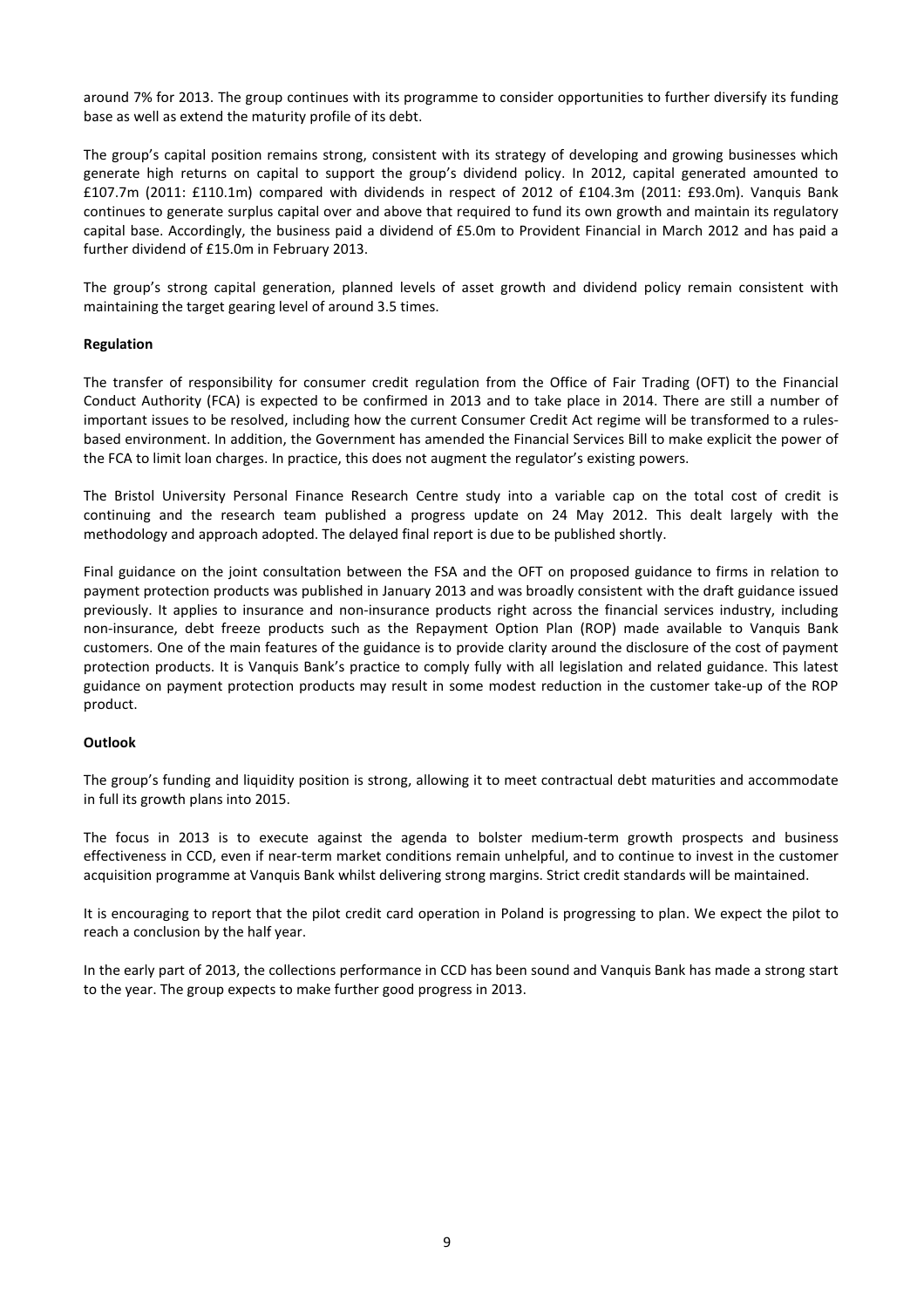around 7% for 2013. The group continues with its programme to consider opportunities to further diversify its funding base as well as extend the maturity profile of its debt.

The group's capital position remains strong, consistent with its strategy of developing and growing businesses which generate high returns on capital to support the group's dividend policy. In 2012, capital generated amounted to £107.7m (2011: £110.1m) compared with dividends in respect of 2012 of £104.3m (2011: £93.0m). Vanquis Bank continues to generate surplus capital over and above that required to fund its own growth and maintain its regulatory capital base. Accordingly, the business paid a dividend of £5.0m to Provident Financial in March 2012 and has paid a further dividend of £15.0m in February 2013.

The group's strong capital generation, planned levels of asset growth and dividend policy remain consistent with maintaining the target gearing level of around 3.5 times.

# Regulation

The transfer of responsibility for consumer credit regulation from the Office of Fair Trading (OFT) to the Financial Conduct Authority (FCA) is expected to be confirmed in 2013 and to take place in 2014. There are still a number of important issues to be resolved, including how the current Consumer Credit Act regime will be transformed to a rulesbased environment. In addition, the Government has amended the Financial Services Bill to make explicit the power of the FCA to limit loan charges. In practice, this does not augment the regulator's existing powers.

The Bristol University Personal Finance Research Centre study into a variable cap on the total cost of credit is continuing and the research team published a progress update on 24 May 2012. This dealt largely with the methodology and approach adopted. The delayed final report is due to be published shortly.

Final guidance on the joint consultation between the FSA and the OFT on proposed guidance to firms in relation to payment protection products was published in January 2013 and was broadly consistent with the draft guidance issued previously. It applies to insurance and non-insurance products right across the financial services industry, including non-insurance, debt freeze products such as the Repayment Option Plan (ROP) made available to Vanquis Bank customers. One of the main features of the guidance is to provide clarity around the disclosure of the cost of payment protection products. It is Vanquis Bank's practice to comply fully with all legislation and related guidance. This latest guidance on payment protection products may result in some modest reduction in the customer take-up of the ROP product.

#### Outlook

The group's funding and liquidity position is strong, allowing it to meet contractual debt maturities and accommodate in full its growth plans into 2015.

The focus in 2013 is to execute against the agenda to bolster medium-term growth prospects and business effectiveness in CCD, even if near-term market conditions remain unhelpful, and to continue to invest in the customer acquisition programme at Vanquis Bank whilst delivering strong margins. Strict credit standards will be maintained.

It is encouraging to report that the pilot credit card operation in Poland is progressing to plan. We expect the pilot to reach a conclusion by the half year.

In the early part of 2013, the collections performance in CCD has been sound and Vanquis Bank has made a strong start to the year. The group expects to make further good progress in 2013.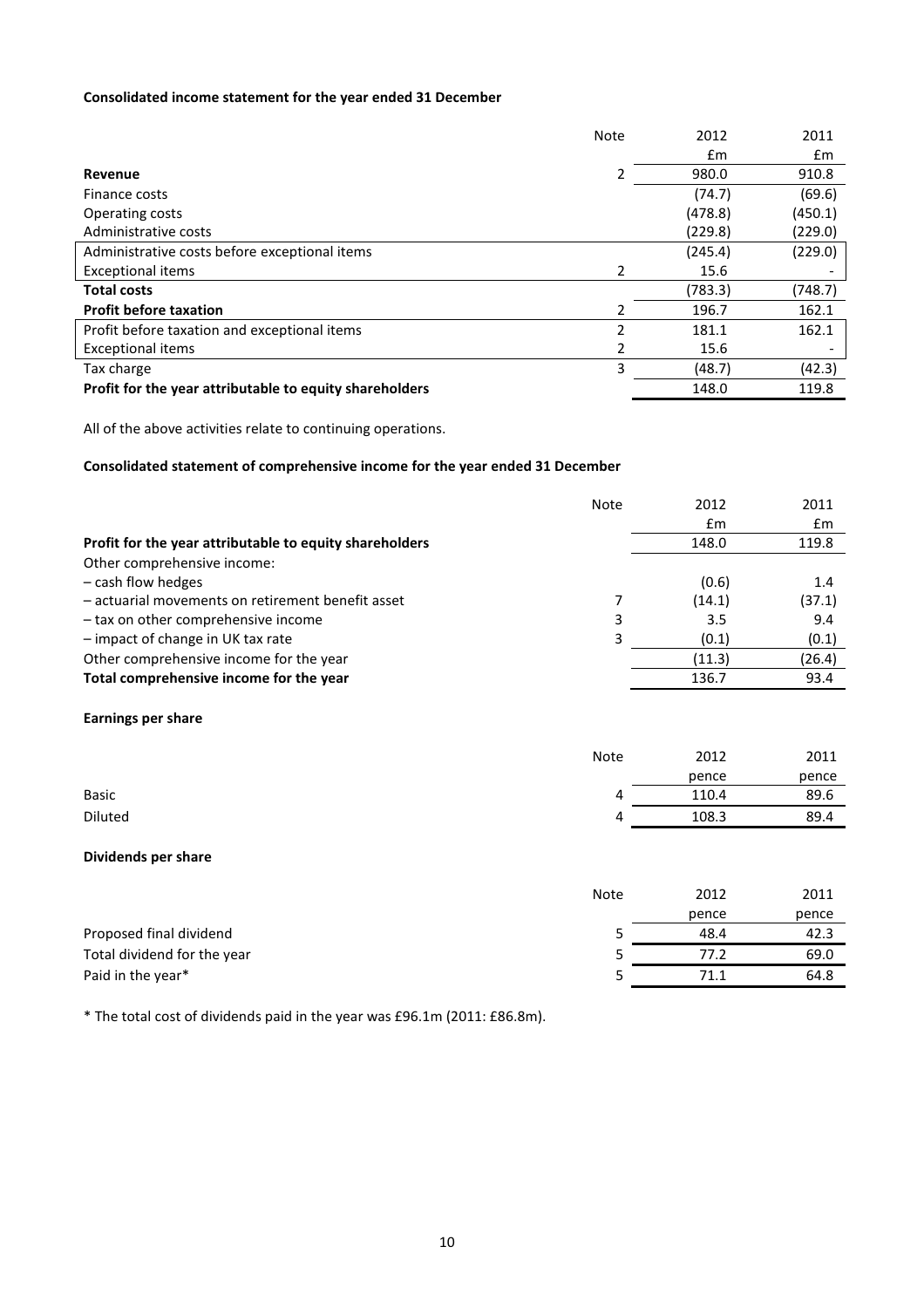# Consolidated income statement for the year ended 31 December

|                                                         | <b>Note</b>   | 2012    | 2011    |
|---------------------------------------------------------|---------------|---------|---------|
|                                                         |               | £m      | £m      |
| Revenue                                                 |               | 980.0   | 910.8   |
| Finance costs                                           |               | (74.7)  | (69.6)  |
| Operating costs                                         |               | (478.8) | (450.1) |
| Administrative costs                                    |               | (229.8) | (229.0) |
| Administrative costs before exceptional items           |               | (245.4) | (229.0) |
| <b>Exceptional items</b>                                | 2             | 15.6    |         |
| <b>Total costs</b>                                      |               | (783.3) | (748.7) |
| <b>Profit before taxation</b>                           | $\mathcal{P}$ | 196.7   | 162.1   |
| Profit before taxation and exceptional items            | 2             | 181.1   | 162.1   |
| <b>Exceptional items</b>                                | 2             | 15.6    |         |
| Tax charge                                              | 3             | (48.7)  | (42.3)  |
| Profit for the year attributable to equity shareholders |               | 148.0   | 119.8   |

All of the above activities relate to continuing operations.

# Consolidated statement of comprehensive income for the year ended 31 December

|                                                         | <b>Note</b> | 2012   | 2011   |
|---------------------------------------------------------|-------------|--------|--------|
|                                                         |             | £m     | £m     |
| Profit for the year attributable to equity shareholders |             | 148.0  | 119.8  |
| Other comprehensive income:                             |             |        |        |
| $-$ cash flow hedges                                    |             | (0.6)  | 1.4    |
| - actuarial movements on retirement benefit asset       | 7           | (14.1) | (37.1) |
| - tax on other comprehensive income                     | 3           | 3.5    | 9.4    |
| - impact of change in UK tax rate                       | 3           | (0.1)  | (0.1)  |
| Other comprehensive income for the year                 |             | (11.3) | (26.4) |
| Total comprehensive income for the year                 |             | 136.7  | 93.4   |
| Earnings per share                                      |             |        |        |
|                                                         | Note        | 2012   | 2011   |
|                                                         |             | nence  | nence  |

|              | pence | pence |
|--------------|-------|-------|
| <b>Basic</b> | 110.4 | 89.6  |
| Diluted      | 108.3 | 89.4  |

# Dividends per share

|                             | <b>Note</b> | 2012  | 2011  |
|-----------------------------|-------------|-------|-------|
|                             |             | pence | pence |
| Proposed final dividend     |             | 48.4  | 42.3  |
| Total dividend for the year |             | 77.2  | 69.0  |
| Paid in the year*           |             | 71.1  | 64.8  |

\* The total cost of dividends paid in the year was £96.1m (2011: £86.8m).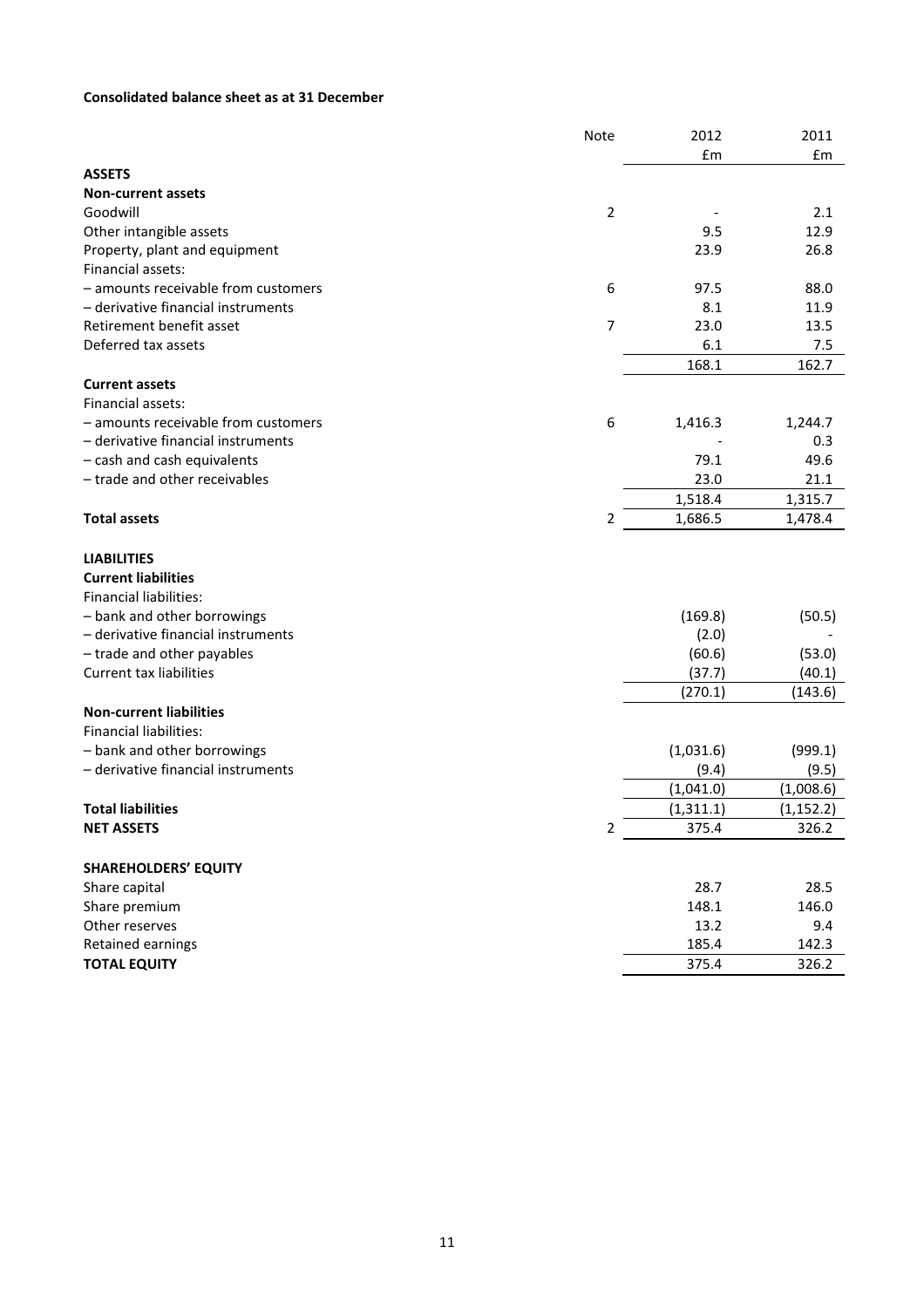# Consolidated balance sheet as at 31 December

|                                     | Note           | 2012       | 2011       |
|-------------------------------------|----------------|------------|------------|
|                                     |                | £m         | £m         |
| <b>ASSETS</b>                       |                |            |            |
| <b>Non-current assets</b>           |                |            |            |
| Goodwill                            | $\overline{2}$ |            | 2.1        |
| Other intangible assets             |                | 9.5        | 12.9       |
| Property, plant and equipment       |                | 23.9       | 26.8       |
| Financial assets:                   |                |            |            |
| - amounts receivable from customers | 6              | 97.5       | 88.0       |
| - derivative financial instruments  |                | 8.1        | 11.9       |
| Retirement benefit asset            | $\overline{7}$ | 23.0       | 13.5       |
| Deferred tax assets                 |                | 6.1        | 7.5        |
|                                     |                | 168.1      | 162.7      |
| <b>Current assets</b>               |                |            |            |
| Financial assets:                   |                |            |            |
| - amounts receivable from customers | 6              | 1,416.3    | 1,244.7    |
| - derivative financial instruments  |                |            | 0.3        |
| - cash and cash equivalents         |                | 79.1       | 49.6       |
| - trade and other receivables       |                | 23.0       | 21.1       |
|                                     |                | 1,518.4    | 1,315.7    |
| <b>Total assets</b>                 | 2              | 1,686.5    | 1,478.4    |
|                                     |                |            |            |
| <b>LIABILITIES</b>                  |                |            |            |
| <b>Current liabilities</b>          |                |            |            |
| <b>Financial liabilities:</b>       |                |            |            |
| - bank and other borrowings         |                | (169.8)    | (50.5)     |
| - derivative financial instruments  |                | (2.0)      |            |
| - trade and other payables          |                | (60.6)     | (53.0)     |
| <b>Current tax liabilities</b>      |                | (37.7)     | (40.1)     |
|                                     |                | (270.1)    | (143.6)    |
| <b>Non-current liabilities</b>      |                |            |            |
| <b>Financial liabilities:</b>       |                |            |            |
| - bank and other borrowings         |                | (1,031.6)  | (999.1)    |
| - derivative financial instruments  |                | (9.4)      | (9.5)      |
|                                     |                | (1,041.0)  | (1,008.6)  |
| <b>Total liabilities</b>            |                | (1, 311.1) | (1, 152.2) |
| <b>NET ASSETS</b>                   | $\overline{L}$ | 375.4      | 326.2      |
|                                     |                |            |            |
| <b>SHAREHOLDERS' EQUITY</b>         |                |            |            |
| Share capital                       |                | 28.7       | 28.5       |
| Share premium                       |                | 148.1      | 146.0      |
| Other reserves                      |                | 13.2       | 9.4        |
| Retained earnings                   |                | 185.4      | 142.3      |
| <b>TOTAL EQUITY</b>                 |                | 375.4      | 326.2      |
|                                     |                |            |            |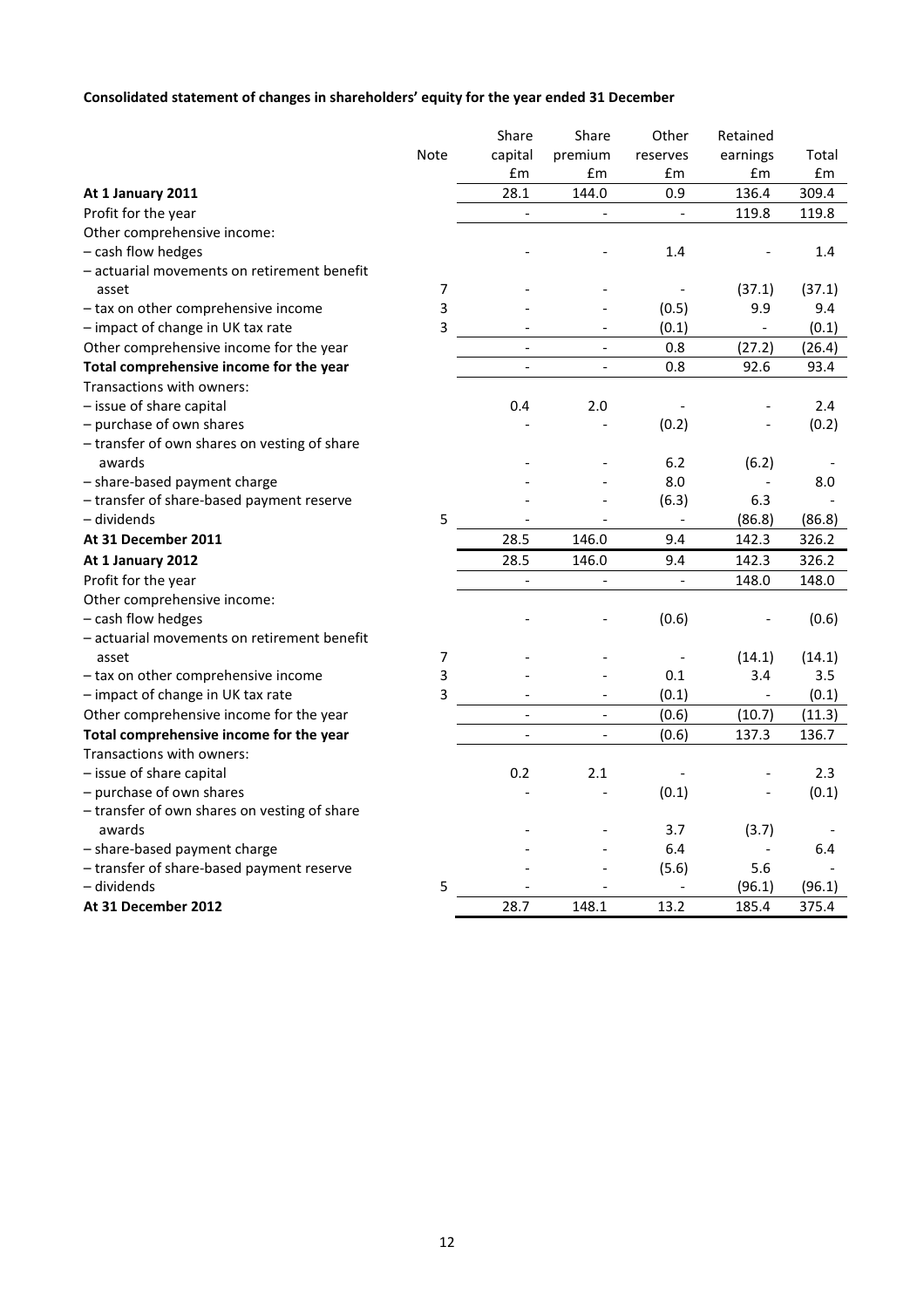# Consolidated statement of changes in shareholders' equity for the year ended 31 December

|                                              |      | Share                    | Share                    | Other    | Retained                 |        |
|----------------------------------------------|------|--------------------------|--------------------------|----------|--------------------------|--------|
|                                              | Note | capital                  | premium                  | reserves | earnings                 | Total  |
|                                              |      | £m                       | £m                       | £m       | £m                       | £m     |
| At 1 January 2011                            |      | 28.1                     | 144.0                    | 0.9      | 136.4                    | 309.4  |
| Profit for the year                          |      | $\overline{a}$           | $\overline{\phantom{a}}$ |          | 119.8                    | 119.8  |
| Other comprehensive income:                  |      |                          |                          |          |                          |        |
| - cash flow hedges                           |      |                          |                          | 1.4      |                          | 1.4    |
| - actuarial movements on retirement benefit  |      |                          |                          |          |                          |        |
| asset                                        | 7    |                          |                          |          | (37.1)                   | (37.1) |
| - tax on other comprehensive income          | 3    |                          |                          | (0.5)    | 9.9                      | 9.4    |
| - impact of change in UK tax rate            | 3    |                          |                          | (0.1)    |                          | (0.1)  |
| Other comprehensive income for the year      |      | $\overline{a}$           | $\overline{a}$           | 0.8      | (27.2)                   | (26.4) |
| Total comprehensive income for the year      |      | $\overline{\phantom{a}}$ | $\overline{\phantom{a}}$ | 0.8      | 92.6                     | 93.4   |
| Transactions with owners:                    |      |                          |                          |          |                          |        |
| - issue of share capital                     |      | 0.4                      | 2.0                      |          |                          | 2.4    |
| - purchase of own shares                     |      |                          |                          | (0.2)    |                          | (0.2)  |
| - transfer of own shares on vesting of share |      |                          |                          |          |                          |        |
| awards                                       |      |                          |                          | 6.2      | (6.2)                    |        |
| - share-based payment charge                 |      |                          |                          | 8.0      |                          | 8.0    |
| - transfer of share-based payment reserve    |      |                          |                          | (6.3)    | 6.3                      |        |
| - dividends                                  | 5    |                          |                          |          | (86.8)                   | (86.8) |
| At 31 December 2011                          |      | 28.5                     | 146.0                    | 9.4      | 142.3                    | 326.2  |
| At 1 January 2012                            |      | 28.5                     | 146.0                    | 9.4      | 142.3                    | 326.2  |
| Profit for the year                          |      |                          |                          |          | 148.0                    | 148.0  |
| Other comprehensive income:                  |      |                          |                          |          |                          |        |
| - cash flow hedges                           |      |                          |                          | (0.6)    |                          | (0.6)  |
| - actuarial movements on retirement benefit  |      |                          |                          |          |                          |        |
| asset                                        | 7    |                          |                          |          | (14.1)                   | (14.1) |
| - tax on other comprehensive income          | 3    |                          |                          | 0.1      | 3.4                      | 3.5    |
| - impact of change in UK tax rate            | 3    |                          |                          | (0.1)    |                          | (0.1)  |
| Other comprehensive income for the year      |      | $\overline{\phantom{a}}$ | $\overline{\phantom{a}}$ | (0.6)    | (10.7)                   | (11.3) |
| Total comprehensive income for the year      |      | $\overline{a}$           | $\overline{\phantom{a}}$ | (0.6)    | 137.3                    | 136.7  |
| Transactions with owners:                    |      |                          |                          |          |                          |        |
| - issue of share capital                     |      | 0.2                      | 2.1                      |          |                          | 2.3    |
| - purchase of own shares                     |      |                          |                          | (0.1)    |                          | (0.1)  |
| - transfer of own shares on vesting of share |      |                          |                          |          |                          |        |
| awards                                       |      |                          |                          | 3.7      | (3.7)                    |        |
| - share-based payment charge                 |      |                          |                          | 6.4      | $\overline{\phantom{a}}$ | 6.4    |
| - transfer of share-based payment reserve    |      |                          |                          | (5.6)    | 5.6                      |        |
| - dividends                                  | 5    |                          |                          |          | (96.1)                   | (96.1) |
| At 31 December 2012                          |      | 28.7                     | 148.1                    | 13.2     | 185.4                    | 375.4  |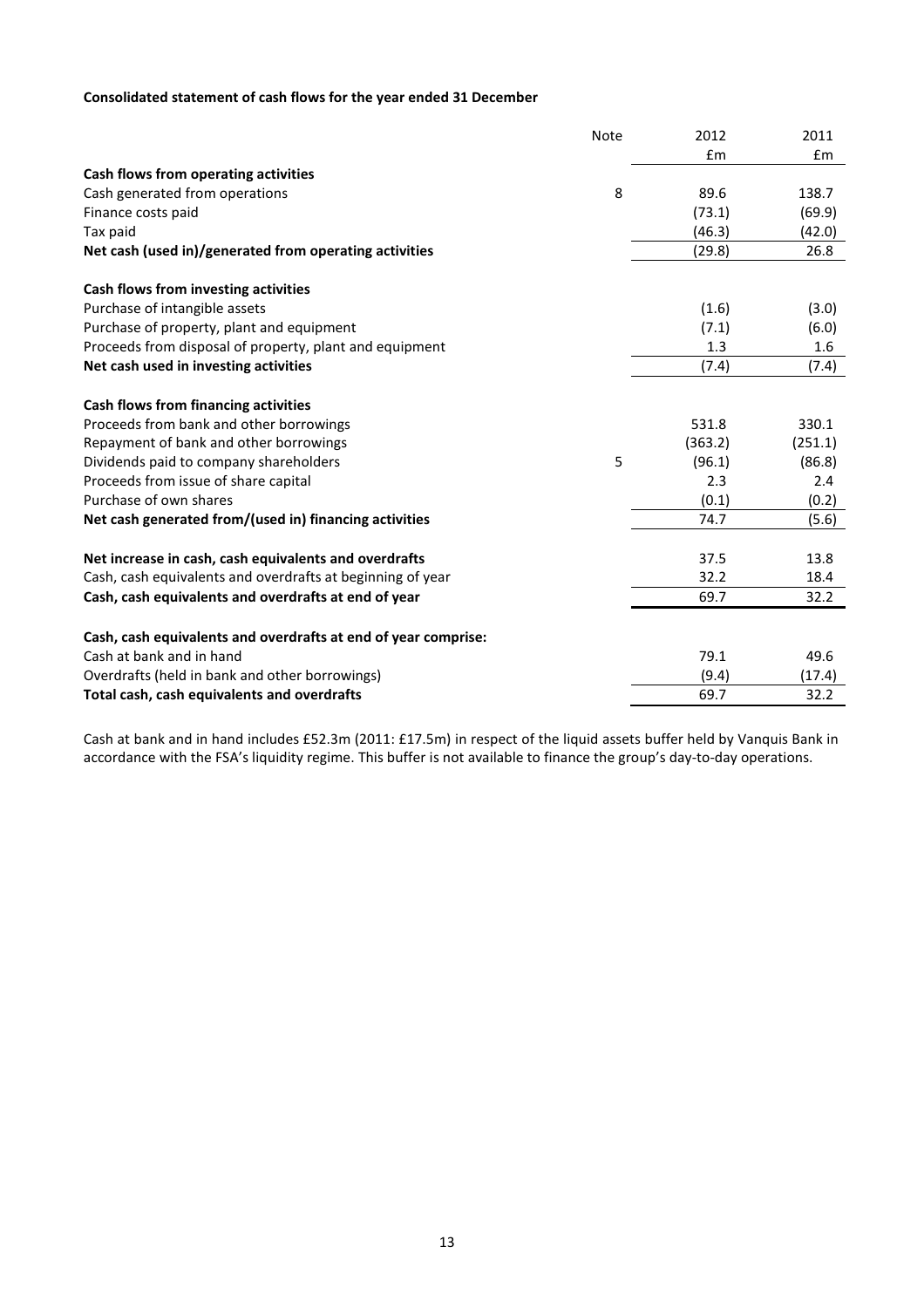# Consolidated statement of cash flows for the year ended 31 December

| £m<br>Em<br>8<br>89.6<br>138.7<br>(73.1)<br>(69.9)<br>(46.3)<br>(42.0)<br>(29.8)<br>26.8<br>(1.6)<br>(3.0)<br>(7.1)<br>(6.0)<br>1.3<br>1.6<br>(7.4)<br>(7.4)<br>330.1<br>531.8<br>(363.2)<br>(251.1)<br>5<br>(86.8)<br>(96.1)<br>2.3<br>2.4<br>(0.1)<br>(0.2)<br>(5.6)<br>74.7<br>37.5<br>13.8<br>Cash, cash equivalents and overdrafts at beginning of year<br>32.2<br>18.4<br>69.7<br>32.2<br>Cash, cash equivalents and overdrafts at end of year comprise: |                                                         | <b>Note</b> | 2012 | 2011 |
|----------------------------------------------------------------------------------------------------------------------------------------------------------------------------------------------------------------------------------------------------------------------------------------------------------------------------------------------------------------------------------------------------------------------------------------------------------------|---------------------------------------------------------|-------------|------|------|
|                                                                                                                                                                                                                                                                                                                                                                                                                                                                |                                                         |             |      |      |
|                                                                                                                                                                                                                                                                                                                                                                                                                                                                | Cash flows from operating activities                    |             |      |      |
|                                                                                                                                                                                                                                                                                                                                                                                                                                                                | Cash generated from operations                          |             |      |      |
|                                                                                                                                                                                                                                                                                                                                                                                                                                                                | Finance costs paid                                      |             |      |      |
|                                                                                                                                                                                                                                                                                                                                                                                                                                                                | Tax paid                                                |             |      |      |
|                                                                                                                                                                                                                                                                                                                                                                                                                                                                | Net cash (used in)/generated from operating activities  |             |      |      |
|                                                                                                                                                                                                                                                                                                                                                                                                                                                                | Cash flows from investing activities                    |             |      |      |
|                                                                                                                                                                                                                                                                                                                                                                                                                                                                | Purchase of intangible assets                           |             |      |      |
|                                                                                                                                                                                                                                                                                                                                                                                                                                                                | Purchase of property, plant and equipment               |             |      |      |
|                                                                                                                                                                                                                                                                                                                                                                                                                                                                | Proceeds from disposal of property, plant and equipment |             |      |      |
|                                                                                                                                                                                                                                                                                                                                                                                                                                                                | Net cash used in investing activities                   |             |      |      |
|                                                                                                                                                                                                                                                                                                                                                                                                                                                                | <b>Cash flows from financing activities</b>             |             |      |      |
|                                                                                                                                                                                                                                                                                                                                                                                                                                                                | Proceeds from bank and other borrowings                 |             |      |      |
|                                                                                                                                                                                                                                                                                                                                                                                                                                                                | Repayment of bank and other borrowings                  |             |      |      |
|                                                                                                                                                                                                                                                                                                                                                                                                                                                                | Dividends paid to company shareholders                  |             |      |      |
|                                                                                                                                                                                                                                                                                                                                                                                                                                                                | Proceeds from issue of share capital                    |             |      |      |
|                                                                                                                                                                                                                                                                                                                                                                                                                                                                | Purchase of own shares                                  |             |      |      |
|                                                                                                                                                                                                                                                                                                                                                                                                                                                                | Net cash generated from/(used in) financing activities  |             |      |      |
|                                                                                                                                                                                                                                                                                                                                                                                                                                                                | Net increase in cash, cash equivalents and overdrafts   |             |      |      |
|                                                                                                                                                                                                                                                                                                                                                                                                                                                                |                                                         |             |      |      |
|                                                                                                                                                                                                                                                                                                                                                                                                                                                                | Cash, cash equivalents and overdrafts at end of year    |             |      |      |
|                                                                                                                                                                                                                                                                                                                                                                                                                                                                |                                                         |             |      |      |
|                                                                                                                                                                                                                                                                                                                                                                                                                                                                | Cash at bank and in hand                                |             | 79.1 | 49.6 |
| (9.4)<br>(17.4)                                                                                                                                                                                                                                                                                                                                                                                                                                                | Overdrafts (held in bank and other borrowings)          |             |      |      |
| 32.2<br>69.7                                                                                                                                                                                                                                                                                                                                                                                                                                                   | Total cash, cash equivalents and overdrafts             |             |      |      |

Cash at bank and in hand includes £52.3m (2011: £17.5m) in respect of the liquid assets buffer held by Vanquis Bank in accordance with the FSA's liquidity regime. This buffer is not available to finance the group's day-to-day operations.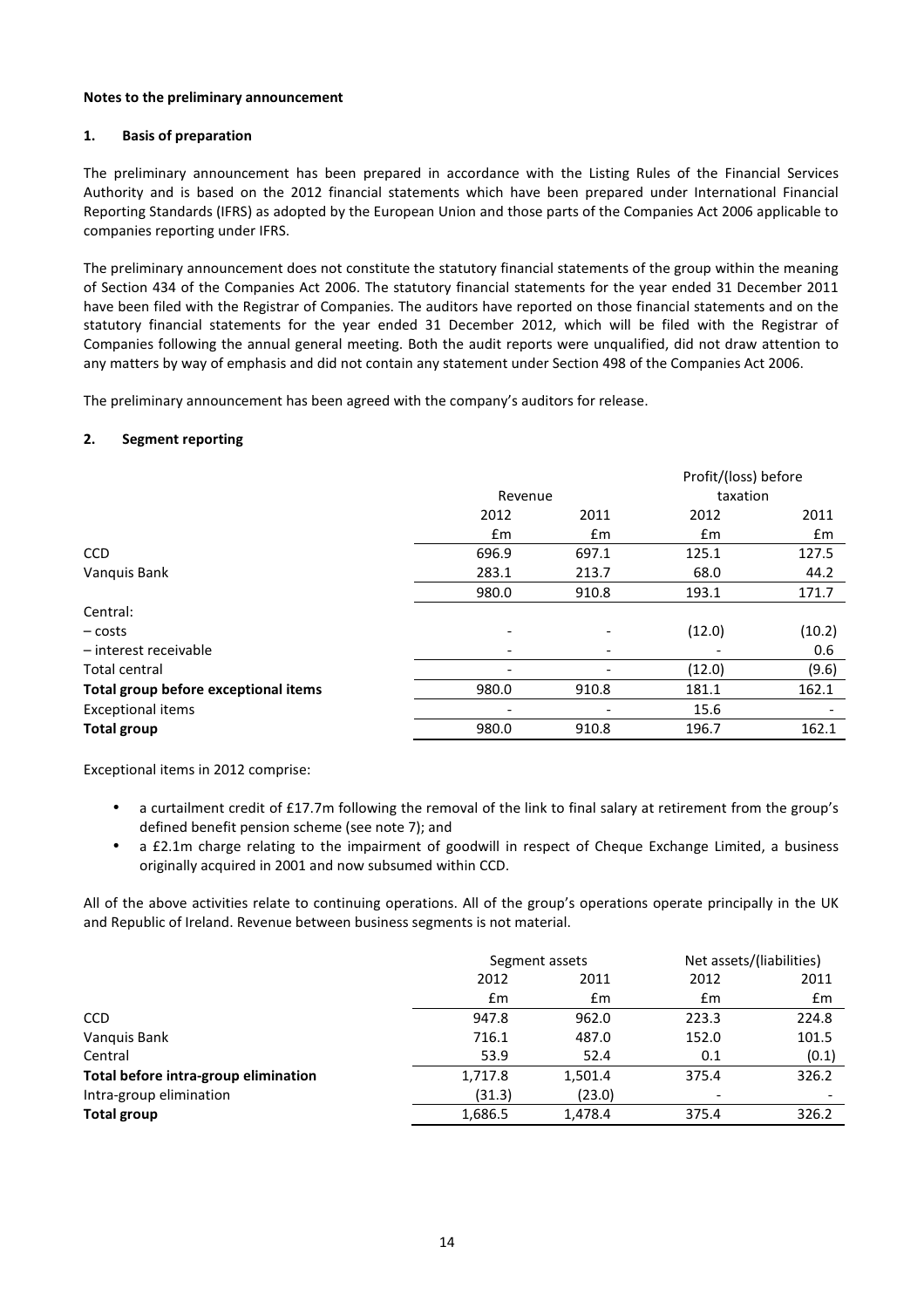#### Notes to the preliminary announcement

### 1. Basis of preparation

The preliminary announcement has been prepared in accordance with the Listing Rules of the Financial Services Authority and is based on the 2012 financial statements which have been prepared under International Financial Reporting Standards (IFRS) as adopted by the European Union and those parts of the Companies Act 2006 applicable to companies reporting under IFRS.

The preliminary announcement does not constitute the statutory financial statements of the group within the meaning of Section 434 of the Companies Act 2006. The statutory financial statements for the year ended 31 December 2011 have been filed with the Registrar of Companies. The auditors have reported on those financial statements and on the statutory financial statements for the year ended 31 December 2012, which will be filed with the Registrar of Companies following the annual general meeting. Both the audit reports were unqualified, did not draw attention to any matters by way of emphasis and did not contain any statement under Section 498 of the Companies Act 2006.

The preliminary announcement has been agreed with the company's auditors for release.

#### 2. Segment reporting

|                                      |       |                          |        | Profit/(loss) before |
|--------------------------------------|-------|--------------------------|--------|----------------------|
|                                      |       | Revenue                  |        | taxation             |
|                                      | 2012  | 2011                     | 2012   | 2011                 |
|                                      | £m    | £m                       | £m     | £m                   |
| <b>CCD</b>                           | 696.9 | 697.1                    | 125.1  | 127.5                |
| Vanquis Bank                         | 283.1 | 213.7                    | 68.0   | 44.2                 |
|                                      | 980.0 | 910.8                    | 193.1  | 171.7                |
| Central:                             |       |                          |        |                      |
| $-costs$                             |       |                          | (12.0) | (10.2)               |
| - interest receivable                |       | $\overline{\phantom{0}}$ |        | 0.6                  |
| Total central                        |       | -                        | (12.0) | (9.6)                |
| Total group before exceptional items | 980.0 | 910.8                    | 181.1  | 162.1                |
| <b>Exceptional items</b>             |       |                          | 15.6   |                      |
| <b>Total group</b>                   | 980.0 | 910.8                    | 196.7  | 162.1                |

Exceptional items in 2012 comprise:

- a curtailment credit of £17.7m following the removal of the link to final salary at retirement from the group's defined benefit pension scheme (see note 7); and
- a £2.1m charge relating to the impairment of goodwill in respect of Cheque Exchange Limited, a business originally acquired in 2001 and now subsumed within CCD.

All of the above activities relate to continuing operations. All of the group's operations operate principally in the UK and Republic of Ireland. Revenue between business segments is not material.

| Segment assets |         | Net assets/(liabilities) |                          |
|----------------|---------|--------------------------|--------------------------|
| 2012<br>2011   |         | 2012                     | 2011                     |
| Em             | £m      | £m                       | £m                       |
| 947.8          | 962.0   | 223.3                    | 224.8                    |
| 716.1          | 487.0   | 152.0                    | 101.5                    |
| 53.9           | 52.4    | 0.1                      | (0.1)                    |
| 1,717.8        | 1,501.4 | 375.4                    | 326.2                    |
| (31.3)         | (23.0)  | $\overline{\phantom{0}}$ | $\overline{\phantom{a}}$ |
| 1,686.5        | 1,478.4 | 375.4                    | 326.2                    |
|                |         |                          |                          |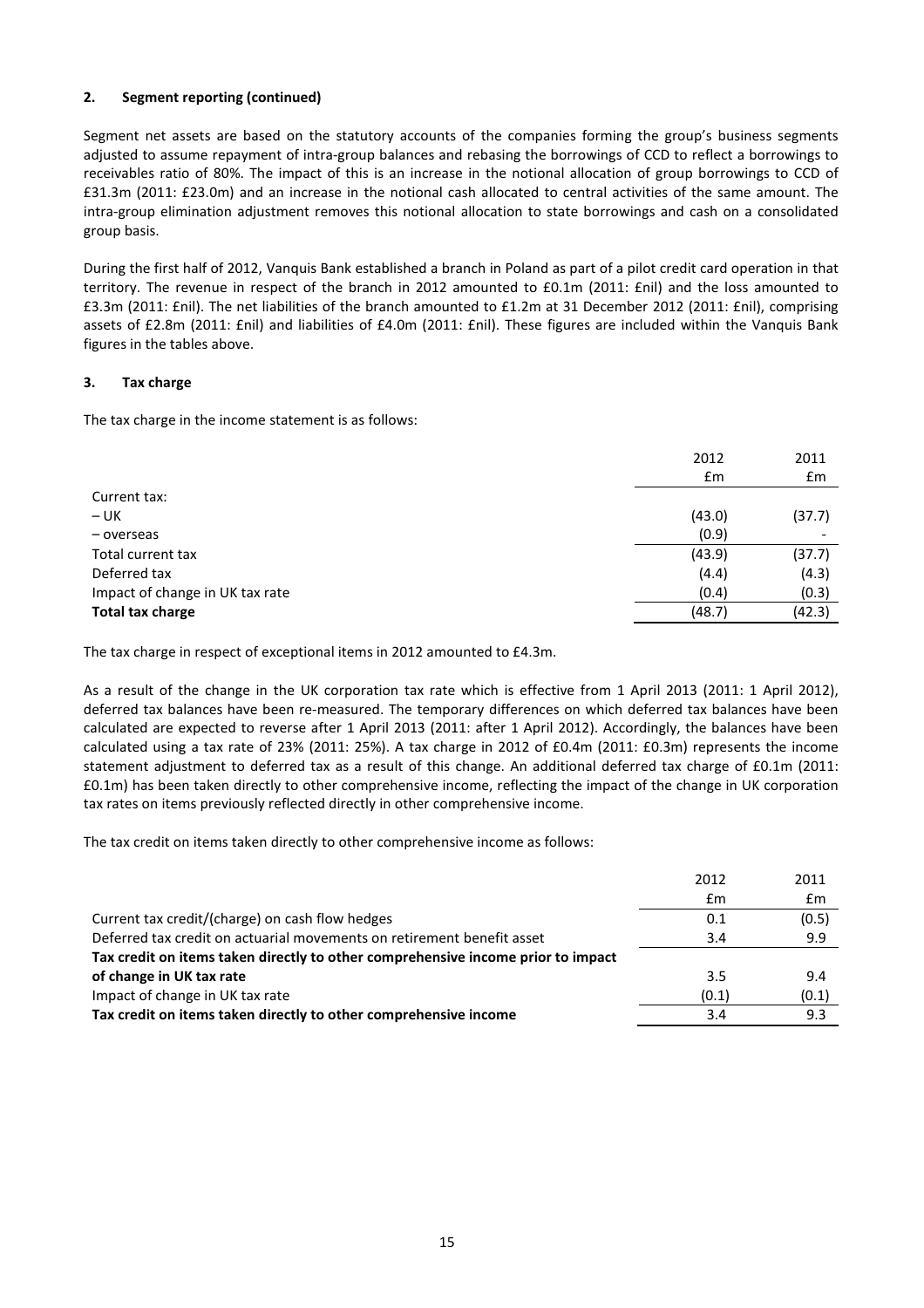# 2. Segment reporting (continued)

Segment net assets are based on the statutory accounts of the companies forming the group's business segments adjusted to assume repayment of intra-group balances and rebasing the borrowings of CCD to reflect a borrowings to receivables ratio of 80%. The impact of this is an increase in the notional allocation of group borrowings to CCD of £31.3m (2011: £23.0m) and an increase in the notional cash allocated to central activities of the same amount. The intra-group elimination adjustment removes this notional allocation to state borrowings and cash on a consolidated group basis.

During the first half of 2012, Vanquis Bank established a branch in Poland as part of a pilot credit card operation in that territory. The revenue in respect of the branch in 2012 amounted to £0.1m (2011: £nil) and the loss amounted to £3.3m (2011: £nil). The net liabilities of the branch amounted to £1.2m at 31 December 2012 (2011: £nil), comprising assets of £2.8m (2011: £nil) and liabilities of £4.0m (2011: £nil). These figures are included within the Vanquis Bank figures in the tables above.

# 3. Tax charge

The tax charge in the income statement is as follows:

|                                 | 2012   | 2011   |
|---------------------------------|--------|--------|
|                                 | £m     | £m     |
| Current tax:                    |        |        |
| $- UK$                          | (43.0) | (37.7) |
| - overseas                      | (0.9)  |        |
| Total current tax               | (43.9) | (37.7) |
| Deferred tax                    | (4.4)  | (4.3)  |
| Impact of change in UK tax rate | (0.4)  | (0.3)  |
| <b>Total tax charge</b>         | (48.7) | (42.3) |

The tax charge in respect of exceptional items in 2012 amounted to £4.3m.

As a result of the change in the UK corporation tax rate which is effective from 1 April 2013 (2011: 1 April 2012), deferred tax balances have been re-measured. The temporary differences on which deferred tax balances have been calculated are expected to reverse after 1 April 2013 (2011: after 1 April 2012). Accordingly, the balances have been calculated using a tax rate of 23% (2011: 25%). A tax charge in 2012 of £0.4m (2011: £0.3m) represents the income statement adjustment to deferred tax as a result of this change. An additional deferred tax charge of £0.1m (2011: £0.1m) has been taken directly to other comprehensive income, reflecting the impact of the change in UK corporation tax rates on items previously reflected directly in other comprehensive income.

The tax credit on items taken directly to other comprehensive income as follows:

|                                                                                  | 2012  | 2011  |
|----------------------------------------------------------------------------------|-------|-------|
|                                                                                  | £m    | £m    |
| Current tax credit/(charge) on cash flow hedges                                  | 0.1   | (0.5) |
| Deferred tax credit on actuarial movements on retirement benefit asset           | 3.4   | 9.9   |
| Tax credit on items taken directly to other comprehensive income prior to impact |       |       |
| of change in UK tax rate                                                         | 3.5   | 9.4   |
| Impact of change in UK tax rate                                                  | (0.1) | (0.1) |
| Tax credit on items taken directly to other comprehensive income                 | 3.4   | 9.3   |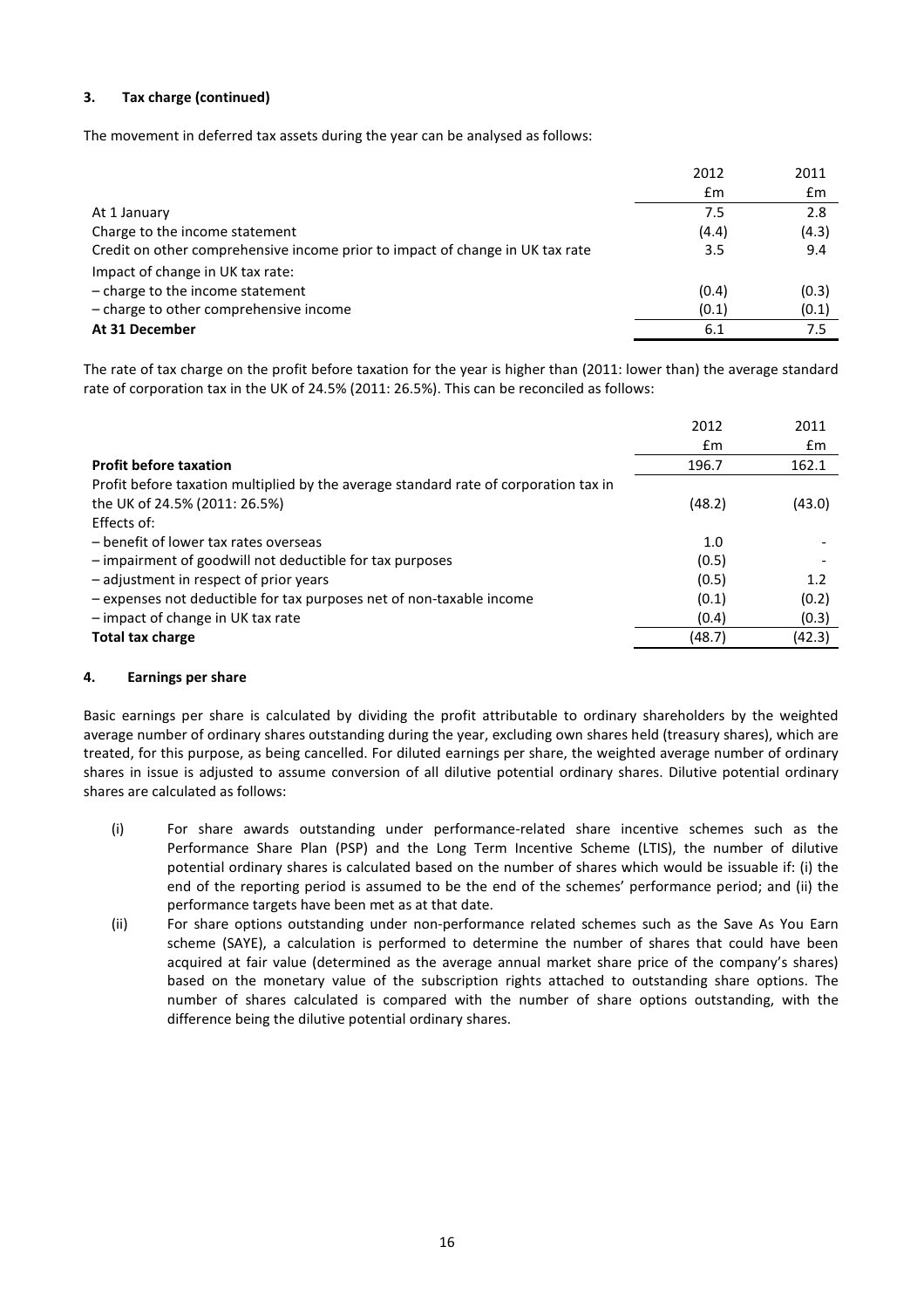# 3. Tax charge (continued)

The movement in deferred tax assets during the year can be analysed as follows:

|                                                                               | 2012  | 2011  |
|-------------------------------------------------------------------------------|-------|-------|
|                                                                               | £m    | £m    |
| At 1 January                                                                  | 7.5   | 2.8   |
| Charge to the income statement                                                | (4.4) | (4.3) |
| Credit on other comprehensive income prior to impact of change in UK tax rate | 3.5   | 9.4   |
| Impact of change in UK tax rate:                                              |       |       |
| $-$ charge to the income statement                                            | (0.4) | (0.3) |
| - charge to other comprehensive income                                        | (0.1) | (0.1) |
| At 31 December                                                                | 6.1   | 7.5   |

The rate of tax charge on the profit before taxation for the year is higher than (2011: lower than) the average standard rate of corporation tax in the UK of 24.5% (2011: 26.5%). This can be reconciled as follows:

|                                                                                      | 2012   | 2011   |
|--------------------------------------------------------------------------------------|--------|--------|
|                                                                                      | £m     | £m     |
| <b>Profit before taxation</b>                                                        | 196.7  | 162.1  |
| Profit before taxation multiplied by the average standard rate of corporation tax in |        |        |
| the UK of 24.5% (2011: 26.5%)                                                        | (48.2) | (43.0) |
| Effects of:                                                                          |        |        |
| - benefit of lower tax rates overseas                                                | 1.0    |        |
| - impairment of goodwill not deductible for tax purposes                             | (0.5)  |        |
| - adjustment in respect of prior years                                               | (0.5)  | 1.2    |
| - expenses not deductible for tax purposes net of non-taxable income                 | (0.1)  | (0.2)  |
| - impact of change in UK tax rate                                                    | (0.4)  | (0.3)  |
| <b>Total tax charge</b>                                                              | (48.7) | (42.3) |
|                                                                                      |        |        |

# 4. Earnings per share

Basic earnings per share is calculated by dividing the profit attributable to ordinary shareholders by the weighted average number of ordinary shares outstanding during the year, excluding own shares held (treasury shares), which are treated, for this purpose, as being cancelled. For diluted earnings per share, the weighted average number of ordinary shares in issue is adjusted to assume conversion of all dilutive potential ordinary shares. Dilutive potential ordinary shares are calculated as follows:

- (i) For share awards outstanding under performance-related share incentive schemes such as the Performance Share Plan (PSP) and the Long Term Incentive Scheme (LTIS), the number of dilutive potential ordinary shares is calculated based on the number of shares which would be issuable if: (i) the end of the reporting period is assumed to be the end of the schemes' performance period; and (ii) the performance targets have been met as at that date.
- (ii) For share options outstanding under non-performance related schemes such as the Save As You Earn scheme (SAYE), a calculation is performed to determine the number of shares that could have been acquired at fair value (determined as the average annual market share price of the company's shares) based on the monetary value of the subscription rights attached to outstanding share options. The number of shares calculated is compared with the number of share options outstanding, with the difference being the dilutive potential ordinary shares.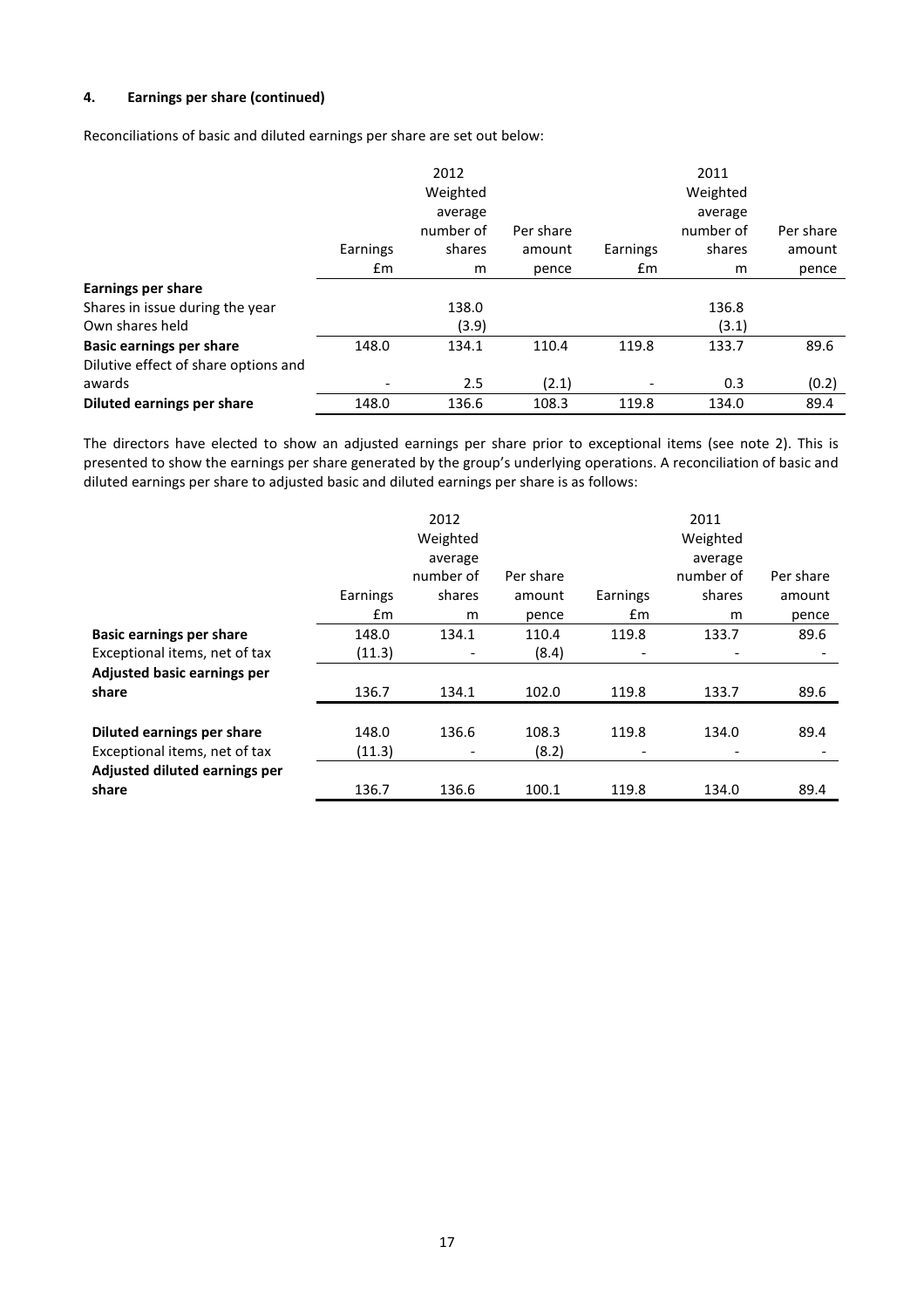# 4. Earnings per share (continued)

Reconciliations of basic and diluted earnings per share are set out below:

|                                      |          | 2012      |           |          | 2011      |           |
|--------------------------------------|----------|-----------|-----------|----------|-----------|-----------|
|                                      |          | Weighted  |           |          | Weighted  |           |
|                                      |          | average   |           |          | average   |           |
|                                      |          | number of | Per share |          | number of | Per share |
|                                      | Earnings | shares    | amount    | Earnings | shares    | amount    |
|                                      | £m       | m         | pence     | £m       | m         | pence     |
| <b>Earnings per share</b>            |          |           |           |          |           |           |
| Shares in issue during the year      |          | 138.0     |           |          | 136.8     |           |
| Own shares held                      |          | (3.9)     |           |          | (3.1)     |           |
| <b>Basic earnings per share</b>      | 148.0    | 134.1     | 110.4     | 119.8    | 133.7     | 89.6      |
| Dilutive effect of share options and |          |           |           |          |           |           |
| awards                               |          | 2.5       | (2.1)     |          | 0.3       | (0.2)     |
| Diluted earnings per share           | 148.0    | 136.6     | 108.3     | 119.8    | 134.0     | 89.4      |

The directors have elected to show an adjusted earnings per share prior to exceptional items (see note 2). This is presented to show the earnings per share generated by the group's underlying operations. A reconciliation of basic and diluted earnings per share to adjusted basic and diluted earnings per share is as follows:

|                                    |          | 2012                     |           |                          | 2011                     |           |
|------------------------------------|----------|--------------------------|-----------|--------------------------|--------------------------|-----------|
|                                    |          | Weighted                 |           |                          | Weighted                 |           |
|                                    |          | average                  |           |                          | average                  |           |
|                                    |          | number of                | Per share |                          | number of                | Per share |
|                                    | Earnings | shares                   | amount    | Earnings                 | shares                   | amount    |
|                                    | £m       | m                        | pence     | Em                       | m                        | pence     |
| <b>Basic earnings per share</b>    | 148.0    | 134.1                    | 110.4     | 119.8                    | 133.7                    | 89.6      |
| Exceptional items, net of tax      | (11.3)   | $\overline{\phantom{a}}$ | (8.4)     | $\overline{\phantom{0}}$ | $\overline{\phantom{a}}$ |           |
| <b>Adjusted basic earnings per</b> |          |                          |           |                          |                          |           |
| share                              | 136.7    | 134.1                    | 102.0     | 119.8                    | 133.7                    | 89.6      |
|                                    |          |                          |           |                          |                          |           |
| Diluted earnings per share         | 148.0    | 136.6                    | 108.3     | 119.8                    | 134.0                    | 89.4      |
| Exceptional items, net of tax      | (11.3)   | $\overline{\phantom{a}}$ | (8.2)     |                          | $\overline{\phantom{a}}$ |           |
| Adjusted diluted earnings per      |          |                          |           |                          |                          |           |
| share                              | 136.7    | 136.6                    | 100.1     | 119.8                    | 134.0                    | 89.4      |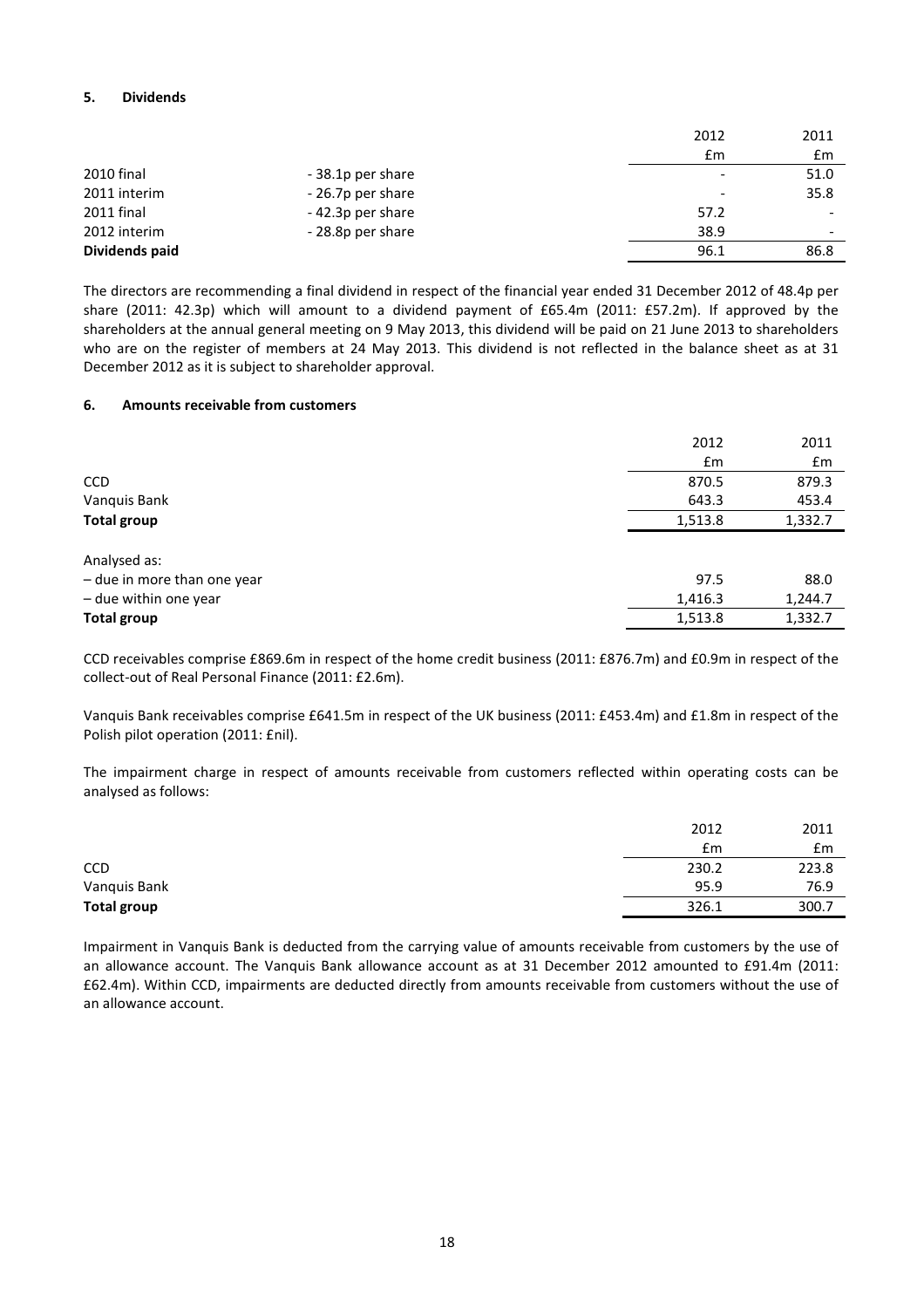# 5. Dividends

|                   |                   | 2012                     | 2011                     |
|-------------------|-------------------|--------------------------|--------------------------|
|                   |                   | £m                       | £m                       |
| 2010 final        | - 38.1p per share | $\overline{\phantom{0}}$ | 51.0                     |
| 2011 interim      | - 26.7p per share | $\overline{\phantom{0}}$ | 35.8                     |
| <b>2011 final</b> | -42.3p per share  | 57.2                     | $\overline{\phantom{0}}$ |
| 2012 interim      | - 28.8p per share | 38.9                     |                          |
| Dividends paid    |                   | 96.1                     | 86.8                     |

The directors are recommending a final dividend in respect of the financial year ended 31 December 2012 of 48.4p per share (2011: 42.3p) which will amount to a dividend payment of £65.4m (2011: £57.2m). If approved by the shareholders at the annual general meeting on 9 May 2013, this dividend will be paid on 21 June 2013 to shareholders who are on the register of members at 24 May 2013. This dividend is not reflected in the balance sheet as at 31 December 2012 as it is subject to shareholder approval.

#### 6. Amounts receivable from customers

|                             | 2012    | 2011    |
|-----------------------------|---------|---------|
|                             | £m      | £m      |
| <b>CCD</b>                  | 870.5   | 879.3   |
| Vanquis Bank                | 643.3   | 453.4   |
| <b>Total group</b>          | 1,513.8 | 1,332.7 |
| Analysed as:                |         |         |
| - due in more than one year | 97.5    | 88.0    |
| - due within one year       | 1,416.3 | 1,244.7 |
| <b>Total group</b>          | 1,513.8 | 1,332.7 |

CCD receivables comprise £869.6m in respect of the home credit business (2011: £876.7m) and £0.9m in respect of the collect-out of Real Personal Finance (2011: £2.6m).

Vanquis Bank receivables comprise £641.5m in respect of the UK business (2011: £453.4m) and £1.8m in respect of the Polish pilot operation (2011: £nil).

The impairment charge in respect of amounts receivable from customers reflected within operating costs can be analysed as follows:

|                    | 2012  | 2011  |
|--------------------|-------|-------|
|                    | £m    | £m    |
| <b>CCD</b>         | 230.2 | 223.8 |
| Vanquis Bank       | 95.9  | 76.9  |
| <b>Total group</b> | 326.1 | 300.7 |

Impairment in Vanquis Bank is deducted from the carrying value of amounts receivable from customers by the use of an allowance account. The Vanquis Bank allowance account as at 31 December 2012 amounted to £91.4m (2011: £62.4m). Within CCD, impairments are deducted directly from amounts receivable from customers without the use of an allowance account.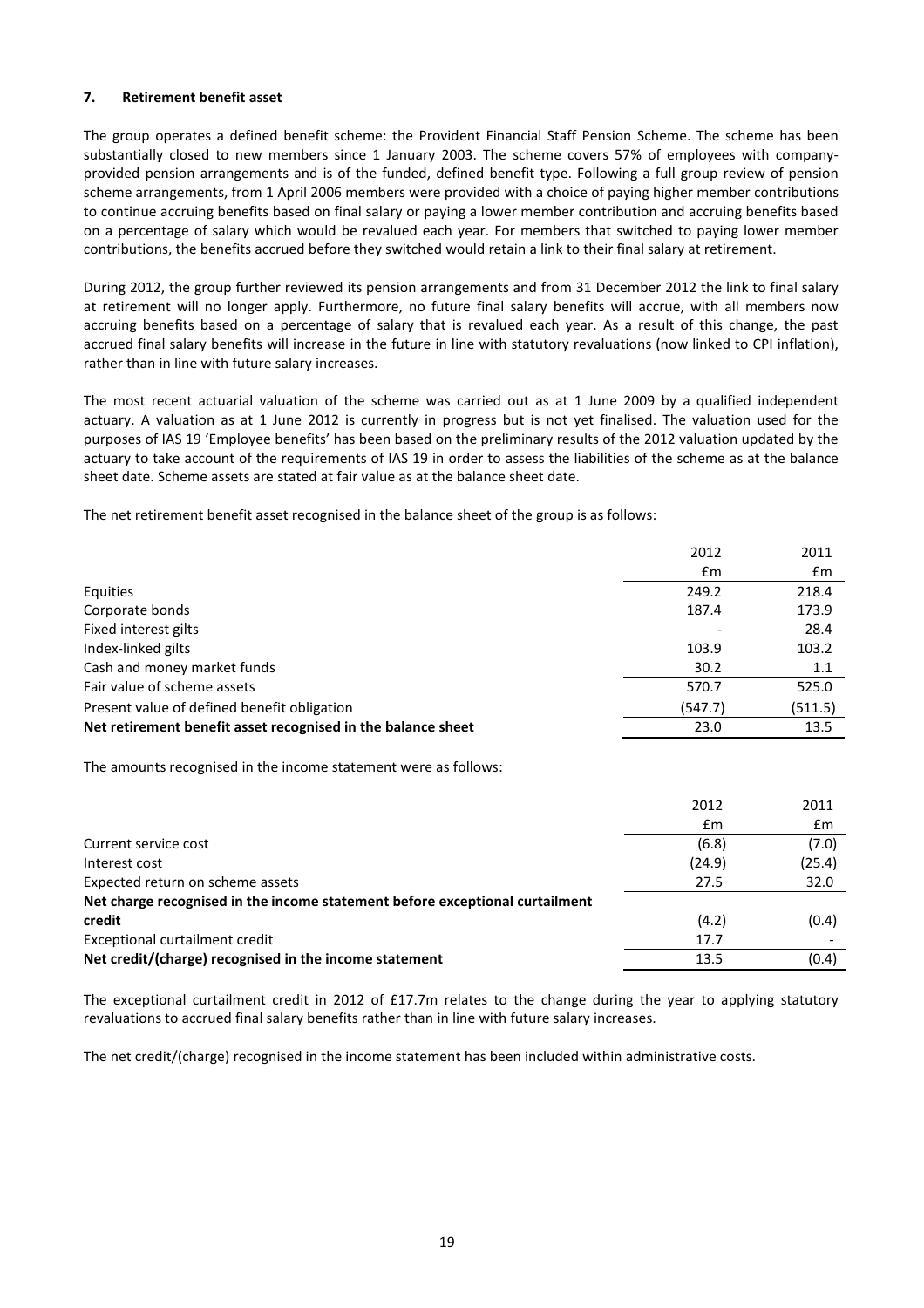### 7. Retirement benefit asset

The group operates a defined benefit scheme: the Provident Financial Staff Pension Scheme. The scheme has been substantially closed to new members since 1 January 2003. The scheme covers 57% of employees with companyprovided pension arrangements and is of the funded, defined benefit type. Following a full group review of pension scheme arrangements, from 1 April 2006 members were provided with a choice of paying higher member contributions to continue accruing benefits based on final salary or paying a lower member contribution and accruing benefits based on a percentage of salary which would be revalued each year. For members that switched to paying lower member contributions, the benefits accrued before they switched would retain a link to their final salary at retirement.

During 2012, the group further reviewed its pension arrangements and from 31 December 2012 the link to final salary at retirement will no longer apply. Furthermore, no future final salary benefits will accrue, with all members now accruing benefits based on a percentage of salary that is revalued each year. As a result of this change, the past accrued final salary benefits will increase in the future in line with statutory revaluations (now linked to CPI inflation), rather than in line with future salary increases.

The most recent actuarial valuation of the scheme was carried out as at 1 June 2009 by a qualified independent actuary. A valuation as at 1 June 2012 is currently in progress but is not yet finalised. The valuation used for the purposes of IAS 19 'Employee benefits' has been based on the preliminary results of the 2012 valuation updated by the actuary to take account of the requirements of IAS 19 in order to assess the liabilities of the scheme as at the balance sheet date. Scheme assets are stated at fair value as at the balance sheet date.

The net retirement benefit asset recognised in the balance sheet of the group is as follows:

|                                                              | 2012    | 2011    |
|--------------------------------------------------------------|---------|---------|
|                                                              | £m      | £m      |
| Equities                                                     | 249.2   | 218.4   |
| Corporate bonds                                              | 187.4   | 173.9   |
| Fixed interest gilts                                         |         | 28.4    |
| Index-linked gilts                                           | 103.9   | 103.2   |
| Cash and money market funds                                  | 30.2    | 1.1     |
| Fair value of scheme assets                                  | 570.7   | 525.0   |
| Present value of defined benefit obligation                  | (547.7) | (511.5) |
| Net retirement benefit asset recognised in the balance sheet | 23.0    | 13.5    |

The amounts recognised in the income statement were as follows:

|                                                                              | 2012   | 2011   |
|------------------------------------------------------------------------------|--------|--------|
|                                                                              | £m     | £m     |
| Current service cost                                                         | (6.8)  | (7.0)  |
| Interest cost                                                                | (24.9) | (25.4) |
| Expected return on scheme assets                                             | 27.5   | 32.0   |
| Net charge recognised in the income statement before exceptional curtailment |        |        |
| credit                                                                       | (4.2)  | (0.4)  |
| Exceptional curtailment credit                                               | 17.7   |        |
| Net credit/(charge) recognised in the income statement                       | 13.5   | (0.4)  |

The exceptional curtailment credit in 2012 of £17.7m relates to the change during the year to applying statutory revaluations to accrued final salary benefits rather than in line with future salary increases.

The net credit/(charge) recognised in the income statement has been included within administrative costs.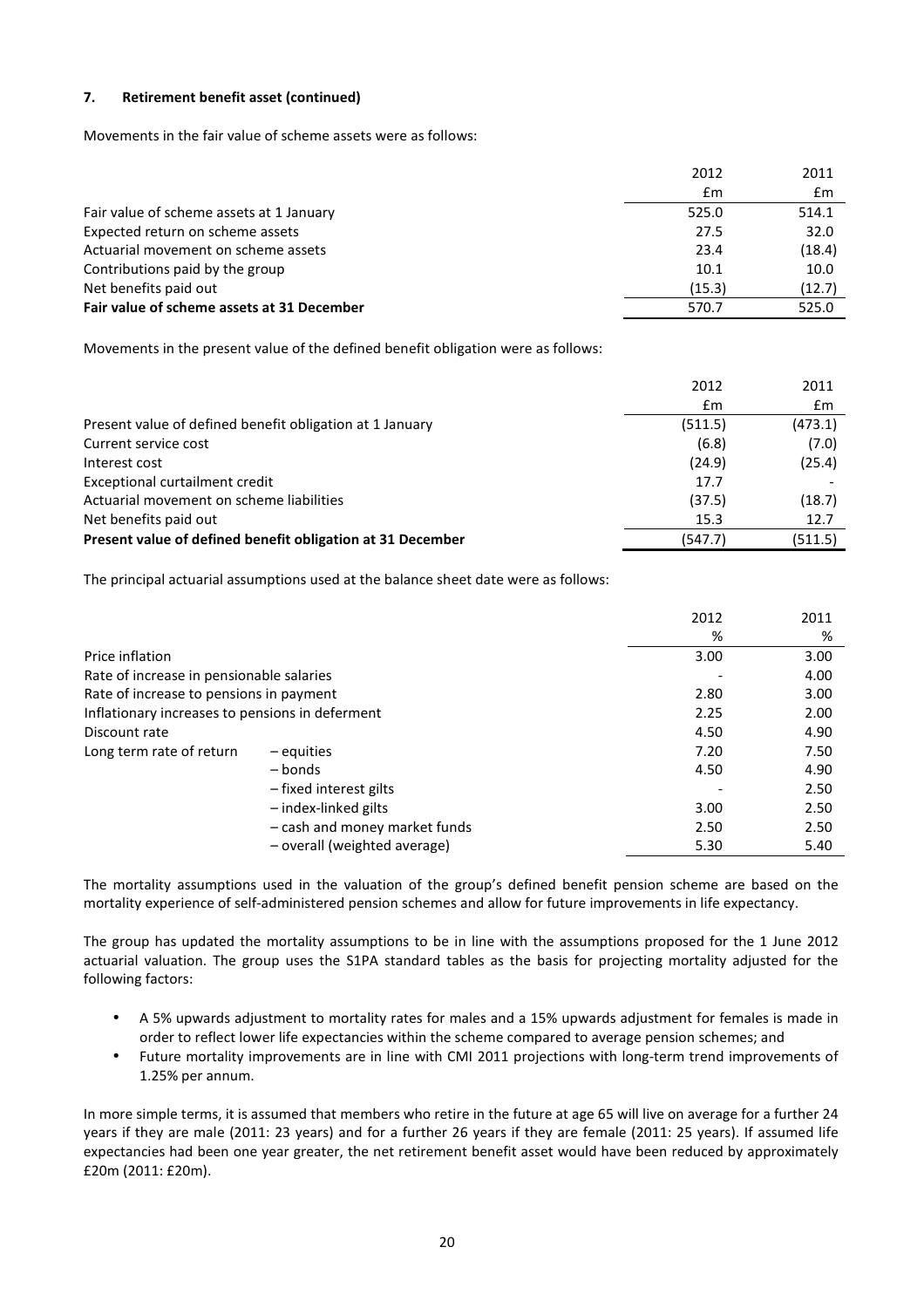# 7. Retirement benefit asset (continued)

Movements in the fair value of scheme assets were as follows:

|                                            | 2012   | 2011           |
|--------------------------------------------|--------|----------------|
|                                            | £m     | $\mathbf{f}$ m |
| Fair value of scheme assets at 1 January   | 525.0  | 514.1          |
| Expected return on scheme assets           | 27.5   | 32.0           |
| Actuarial movement on scheme assets        | 23.4   | (18.4)         |
| Contributions paid by the group            | 10.1   | 10.0           |
| Net benefits paid out                      | (15.3) | (12.7)         |
| Fair value of scheme assets at 31 December | 570.7  | 525.0          |

Movements in the present value of the defined benefit obligation were as follows:

|                                                            | 2012    | 2011    |
|------------------------------------------------------------|---------|---------|
|                                                            | Em      | £m      |
| Present value of defined benefit obligation at 1 January   | (511.5) | (473.1) |
| Current service cost                                       | (6.8)   | (7.0)   |
| Interest cost                                              | (24.9)  | (25.4)  |
| Exceptional curtailment credit                             | 17.7    |         |
| Actuarial movement on scheme liabilities                   | (37.5)  | (18.7)  |
| Net benefits paid out                                      | 15.3    | 12.7    |
| Present value of defined benefit obligation at 31 December | (547.7) | (511.5) |

The principal actuarial assumptions used at the balance sheet date were as follows:

|                                                 |                               | 2012 | 2011 |
|-------------------------------------------------|-------------------------------|------|------|
|                                                 |                               | %    | %    |
| Price inflation                                 |                               | 3.00 | 3.00 |
| Rate of increase in pensionable salaries        |                               |      | 4.00 |
| Rate of increase to pensions in payment         |                               | 2.80 | 3.00 |
| Inflationary increases to pensions in deferment |                               | 2.25 | 2.00 |
| Discount rate                                   |                               | 4.50 | 4.90 |
| Long term rate of return                        | $-$ equities                  | 7.20 | 7.50 |
|                                                 | – bonds                       | 4.50 | 4.90 |
|                                                 | - fixed interest gilts        |      | 2.50 |
|                                                 | - index-linked gilts          | 3.00 | 2.50 |
|                                                 | - cash and money market funds | 2.50 | 2.50 |
|                                                 | - overall (weighted average)  | 5.30 | 5.40 |

The mortality assumptions used in the valuation of the group's defined benefit pension scheme are based on the mortality experience of self-administered pension schemes and allow for future improvements in life expectancy.

The group has updated the mortality assumptions to be in line with the assumptions proposed for the 1 June 2012 actuarial valuation. The group uses the S1PA standard tables as the basis for projecting mortality adjusted for the following factors:

- A 5% upwards adjustment to mortality rates for males and a 15% upwards adjustment for females is made in order to reflect lower life expectancies within the scheme compared to average pension schemes; and
- Future mortality improvements are in line with CMI 2011 projections with long-term trend improvements of 1.25% per annum.

In more simple terms, it is assumed that members who retire in the future at age 65 will live on average for a further 24 years if they are male (2011: 23 years) and for a further 26 years if they are female (2011: 25 years). If assumed life expectancies had been one year greater, the net retirement benefit asset would have been reduced by approximately £20m (2011: £20m).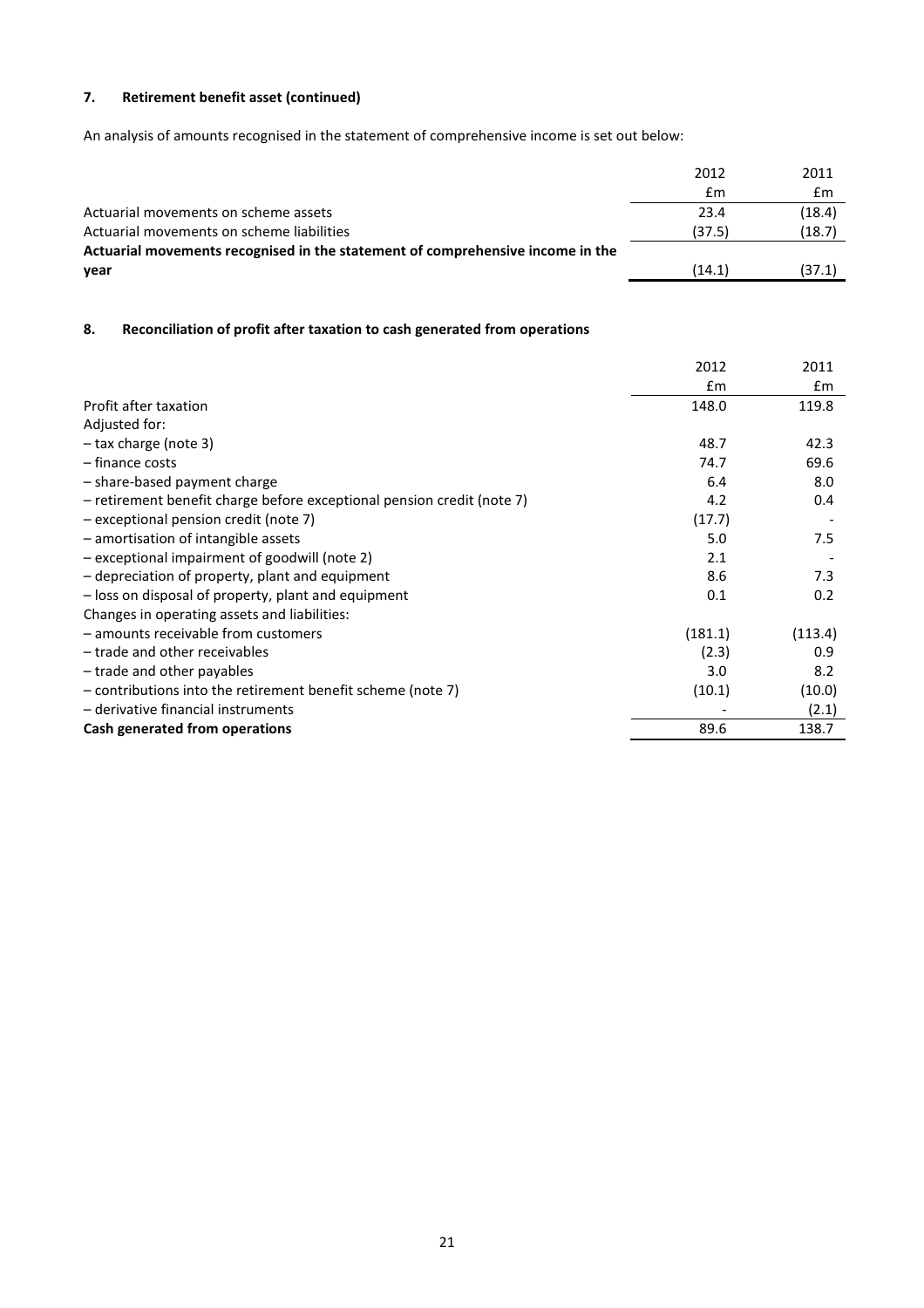# 7. Retirement benefit asset (continued)

An analysis of amounts recognised in the statement of comprehensive income is set out below:

|                                                                                | 2012   | 2011   |
|--------------------------------------------------------------------------------|--------|--------|
|                                                                                | £m     | £m     |
| Actuarial movements on scheme assets                                           | 23.4   | (18.4) |
| Actuarial movements on scheme liabilities                                      | (37.5) | (18.7) |
| Actuarial movements recognised in the statement of comprehensive income in the |        |        |
| year                                                                           | (14.1) | (37.1) |
|                                                                                |        |        |

# 8. Reconciliation of profit after taxation to cash generated from operations

|                                                                        | 2012          | 2011    |
|------------------------------------------------------------------------|---------------|---------|
|                                                                        | $\mathsf{fm}$ | £m      |
| Profit after taxation                                                  | 148.0         | 119.8   |
| Adjusted for:                                                          |               |         |
| $-$ tax charge (note 3)                                                | 48.7          | 42.3    |
| - finance costs                                                        | 74.7          | 69.6    |
| - share-based payment charge                                           | 6.4           | 8.0     |
| - retirement benefit charge before exceptional pension credit (note 7) | 4.2           | 0.4     |
| $-$ exceptional pension credit (note 7)                                | (17.7)        |         |
| - amortisation of intangible assets                                    | 5.0           | 7.5     |
| - exceptional impairment of goodwill (note 2)                          | 2.1           |         |
| - depreciation of property, plant and equipment                        | 8.6           | 7.3     |
| - loss on disposal of property, plant and equipment                    | 0.1           | 0.2     |
| Changes in operating assets and liabilities:                           |               |         |
| - amounts receivable from customers                                    | (181.1)       | (113.4) |
| - trade and other receivables                                          | (2.3)         | 0.9     |
| - trade and other payables                                             | 3.0           | 8.2     |
| $-$ contributions into the retirement benefit scheme (note 7)          | (10.1)        | (10.0)  |
| - derivative financial instruments                                     |               | (2.1)   |
| Cash generated from operations                                         | 89.6          | 138.7   |